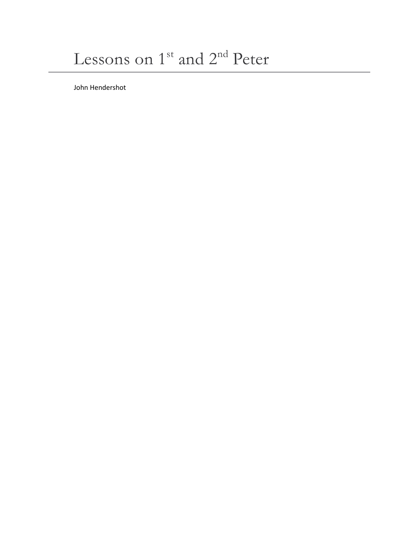# Lessons on 1<sup>st</sup> and 2<sup>nd</sup> Peter

John Hendershot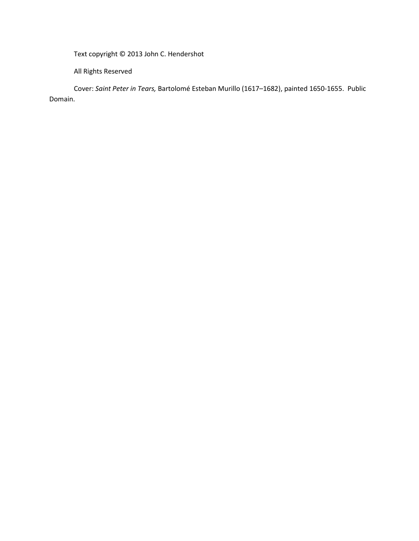Text copyright © 2013 John C. Hendershot

All Rights Reserved

Cover: *Saint Peter in Tears,* Bartolomé Esteban Murillo (1617–1682), painted 1650-1655. Public Domain.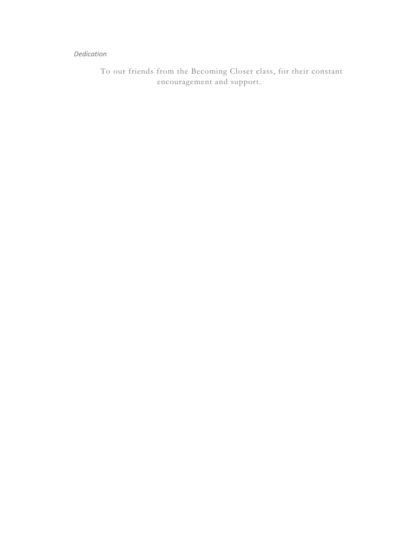# *Dedication*

To our friends from the Becoming Closer class, for their constant encouragement and support.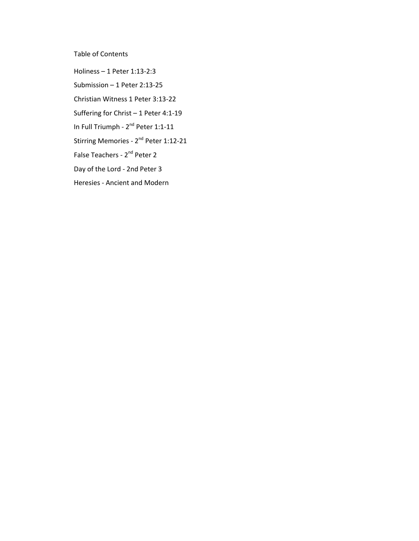Table of Contents

Holiness – [1 Peter 1:13-2:3](#page-4-0)

Submission – [1 Peter 2:13-25](#page-8-0)

[Christian Witness 1 Peter 3:13-22](#page-12-0)

[Suffering for Christ –](#page-15-0) 1 Peter 4:1-19

[In Full Triumph -](#page-19-0) 2<sup>nd</sup> Peter 1:1-11

[Stirring Memories -](#page-23-0) 2<sup>nd</sup> Peter 1:12-21

[False Teachers -](#page-28-0) 2<sup>nd</sup> Peter 2

[Day of the Lord -](#page-32-0) 2nd Peter 3

Heresies - [Ancient and Modern](#page-36-0)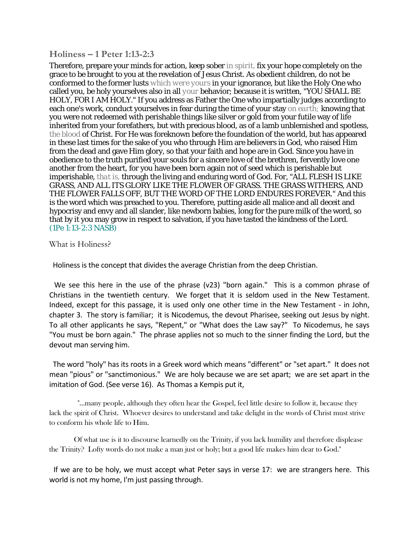# <span id="page-4-0"></span>**Holiness – 1 Peter 1:13-2:3**

Therefore, prepare your minds for action, keep sober *in spirit,* fix your hope completely on the grace to be brought to you at the revelation of Jesus Christ. As obedient children, do not be conformed to the former lusts *which were yours* in your ignorance, but like the Holy One who called you, be holy yourselves also in all *your* behavior; because it is written, "YOU SHALL BE HOLY, FOR I AM HOLY." If you address as Father the One who impartially judges according to each one's work, conduct yourselves in fear during the time of your stay *on earth;* knowing that you were not redeemed with perishable things like silver or gold from your futile way of life inherited from your forefathers, but with precious blood, as of a lamb unblemished and spotless, *the blood* of Christ. For He was foreknown before the foundation of the world, but has appeared in these last times for the sake of you who through Him are believers in God, who raised Him from the dead and gave Him glory, so that your faith and hope are in God. Since you have in obedience to the truth purified your souls for a sincere love of the brethren, fervently love one another from the heart, for you have been born again not of seed which is perishable but imperishable, *that is,* through the living and enduring word of God. For, "ALL FLESH IS LIKE GRASS, AND ALL ITS GLORY LIKE THE FLOWER OF GRASS. THE GRASS WITHERS, AND THE FLOWER FALLS OFF, BUT THE WORD OF THE LORD ENDURES FOREVER." And this is the word which was preached to you. Therefore, putting aside all malice and all deceit and hypocrisy and envy and all slander, like newborn babies, long for the pure milk of the word, so that by it you may grow in respect to salvation, if you have tasted the kindness of the Lord. (1Pe 1:13-2:3 NASB)

# What is Holiness?

Holiness is the concept that divides the average Christian from the deep Christian.

We see this here in the use of the phrase (v23) "born again." This is a common phrase of Christians in the twentieth century. We forget that it is seldom used in the New Testament. Indeed, except for this passage, it is used only one other time in the New Testament - in John, chapter 3. The story is familiar; it is Nicodemus, the devout Pharisee, seeking out Jesus by night. To all other applicants he says, "Repent," or "What does the Law say?" To Nicodemus, he says "You must be born again." The phrase applies not so much to the sinner finding the Lord, but the devout man serving him.

The word "holy" has its roots in a Greek word which means "different" or "set apart." It does not mean "pious" or "sanctimonious." We are holy because we are set apart; we are set apart in the imitation of God. (See verse 16). As Thomas a Kempis put it,

"...many people, although they often hear the Gospel, feel little desire to follow it, because they lack the spirit of Christ. Whoever desires to understand and take delight in the words of Christ must strive to conform his whole life to Him.

Of what use is it to discourse learnedly on the Trinity, if you lack humility and therefore displease the Trinity? Lofty words do not make a man just or holy; but a good life makes him dear to God."

If we are to be holy, we must accept what Peter says in verse 17: we are strangers here. This world is not my home, I'm just passing through.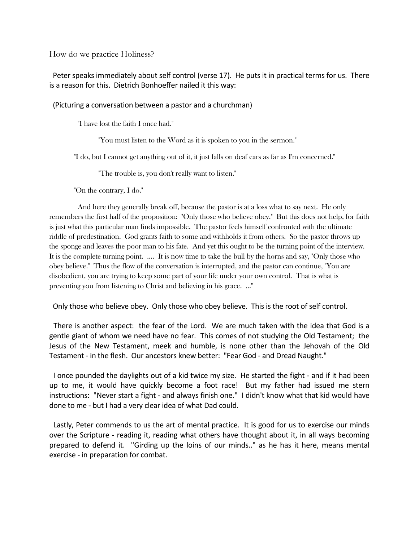How do we practice Holiness?

Peter speaks immediately about self control (verse 17). He puts it in practical terms for us. There is a reason for this. Dietrich Bonhoeffer nailed it this way:

(Picturing a conversation between a pastor and a churchman)

"I have lost the faith I once had."

"You must listen to the Word as it is spoken to you in the sermon."

"I do, but I cannot get anything out of it, it just falls on deaf ears as far as I'm concerned."

"The trouble is, you don't really want to listen."

"On the contrary, I do."

And here they generally break off, because the pastor is at a loss what to say next. He only remembers the first half of the proposition: "Only those who believe obey." But this does not help, for faith is just what this particular man finds impossible. The pastor feels himself confronted with the ultimate riddle of predestination. God grants faith to some and withholds it from others. So the pastor throws up the sponge and leaves the poor man to his fate. And yet this ought to be the turning point of the interview. It is the complete turning point. .... It is now time to take the bull by the horns and say, "Only those who obey believe." Thus the flow of the conversation is interrupted, and the pastor can continue, "You are disobedient, you are trying to keep some part of your life under your own control. That is what is preventing you from listening to Christ and believing in his grace. ..."

Only those who believe obey. Only those who obey believe. This is the root of self control.

There is another aspect: the fear of the Lord. We are much taken with the idea that God is a gentle giant of whom we need have no fear. This comes of not studying the Old Testament; the Jesus of the New Testament, meek and humble, is none other than the Jehovah of the Old Testament - in the flesh. Our ancestors knew better: "Fear God - and Dread Naught."

I once pounded the daylights out of a kid twice my size. He started the fight - and if it had been up to me, it would have quickly become a foot race! But my father had issued me stern instructions: "Never start a fight - and always finish one." I didn't know what that kid would have done to me - but I had a very clear idea of what Dad could.

Lastly, Peter commends to us the art of mental practice. It is good for us to exercise our minds over the Scripture - reading it, reading what others have thought about it, in all ways becoming prepared to defend it. "Girding up the loins of our minds.." as he has it here, means mental exercise - in preparation for combat.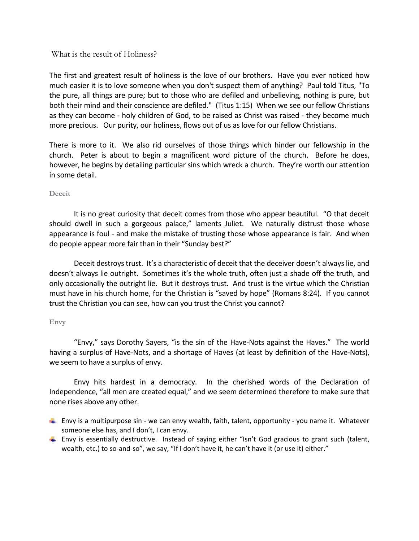# What is the result of Holiness?

The first and greatest result of holiness is the love of our brothers. Have you ever noticed how much easier it is to love someone when you don't suspect them of anything? Paul told Titus, "To the pure, all things are pure; but to those who are defiled and unbelieving, nothing is pure, but both their mind and their conscience are defiled." (Titus 1:15) When we see our fellow Christians as they can become - holy children of God, to be raised as Christ was raised - they become much more precious. Our purity, our holiness, flows out of us as love for our fellow Christians.

There is more to it. We also rid ourselves of those things which hinder our fellowship in the church. Peter is about to begin a magnificent word picture of the church. Before he does, however, he begins by detailing particular sins which wreck a church. They're worth our attention in some detail.

# **Deceit**

It is no great curiosity that deceit comes from those who appear beautiful. "O that deceit should dwell in such a gorgeous palace," laments Juliet. We naturally distrust those whose appearance is foul - and make the mistake of trusting those whose appearance is fair. And when do people appear more fair than in their "Sunday best?"

Deceit destroys trust. It's a characteristic of deceit that the deceiver doesn't always lie, and doesn't always lie outright. Sometimes it's the whole truth, often just a shade off the truth, and only occasionally the outright lie. But it destroys trust. And trust is the virtue which the Christian must have in his church home, for the Christian is "saved by hope" (Romans 8:24). If you cannot trust the Christian you can see, how can you trust the Christ you cannot?

# **Envy**

"Envy," says Dorothy Sayers, "is the sin of the Have-Nots against the Haves." The world having a surplus of Have-Nots, and a shortage of Haves (at least by definition of the Have-Nots), we seem to have a surplus of envy.

Envy hits hardest in a democracy. In the cherished words of the Declaration of Independence, "all men are created equal," and we seem determined therefore to make sure that none rises above any other.

- Envy is a multipurpose sin we can envy wealth, faith, talent, opportunity you name it. Whatever someone else has, and I don't, I can envy.
- $\ddot{+}$  Envy is essentially destructive. Instead of saying either "Isn't God gracious to grant such (talent, wealth, etc.) to so-and-so", we say, "If I don't have it, he can't have it (or use it) either."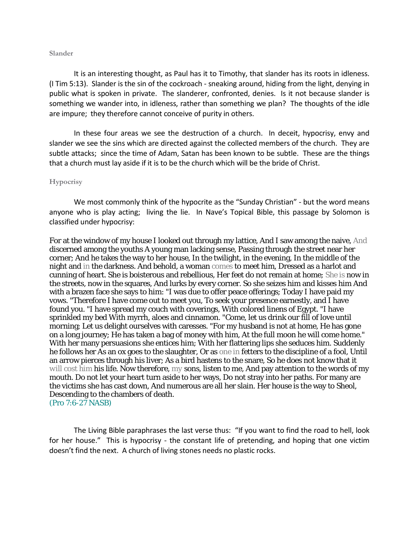#### **Slander**

It is an interesting thought, as Paul has it to Timothy, that slander has its roots in idleness. (I Tim 5:13). Slander is the sin of the cockroach - sneaking around, hiding from the light, denying in public what is spoken in private. The slanderer, confronted, denies. Is it not because slander is something we wander into, in idleness, rather than something we plan? The thoughts of the idle are impure; they therefore cannot conceive of purity in others.

In these four areas we see the destruction of a church. In deceit, hypocrisy, envy and slander we see the sins which are directed against the collected members of the church. They are subtle attacks; since the time of Adam, Satan has been known to be subtle. These are the things that a church must lay aside if it is to be the church which will be the bride of Christ.

#### **Hypocrisy**

We most commonly think of the hypocrite as the "Sunday Christian" - but the word means anyone who is play acting; living the lie. In Nave's Topical Bible, this passage by Solomon is classified under hypocrisy:

For at the window of my house I looked out through my lattice, And I saw among the naive, *And* discerned among the youths A young man lacking sense, Passing through the street near her corner; And he takes the way to her house, In the twilight, in the evening, In the middle of the night and *in* the darkness. And behold, a woman *comes* to meet him, Dressed as a harlot and cunning of heart. She is boisterous and rebellious, Her feet do not remain at home; *She is* now in the streets, now in the squares, And lurks by every corner. So she seizes him and kisses him And with a brazen face she says to him: "I was due to offer peace offerings; Today I have paid my vows. "Therefore I have come out to meet you, To seek your presence earnestly, and I have found you. "I have spread my couch with coverings, With colored linens of Egypt. "I have sprinkled my bed With myrrh, aloes and cinnamon. "Come, let us drink our fill of love until morning; Let us delight ourselves with caresses. "For my husband is not at home, He has gone on a long journey; He has taken a bag of money with him, At the full moon he will come home." With her many persuasions she entices him; With her flattering lips she seduces him. Suddenly he follows her As an ox goes to the slaughter, Or as *one in* fetters to the discipline of a fool, Until an arrow pierces through his liver; As a bird hastens to the snare, So he does not know that it *will cost him* his life. Now therefore, *my* sons, listen to me, And pay attention to the words of my mouth. Do not let your heart turn aside to her ways, Do not stray into her paths. For many are the victims she has cast down, And numerous are all her slain. Her house is the way to Sheol, Descending to the chambers of death. (Pro 7:6-27 NASB)

The Living Bible paraphrases the last verse thus: "If you want to find the road to hell, look for her house." This is hypocrisy - the constant life of pretending, and hoping that one victim doesn't find the next. A church of living stones needs no plastic rocks.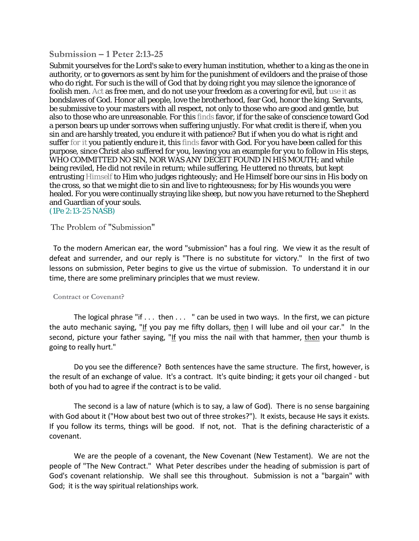# <span id="page-8-0"></span>**Submission – 1 Peter 2:13-25**

Submit yourselves for the Lord's sake to every human institution, whether to a king as the one in authority, or to governors as sent by him for the punishment of evildoers and the praise of those who do right. For such is the will of God that by doing right you may silence the ignorance of foolish men. *Act* as free men, and do not use your freedom as a covering for evil, but *use it* as bondslaves of God. Honor all people, love the brotherhood, fear God, honor the king. Servants, be submissive to your masters with all respect, not only to those who are good and gentle, but also to those who are unreasonable. For this *finds* favor, if for the sake of conscience toward God a person bears up under sorrows when suffering unjustly. For what credit is there if, when you sin and are harshly treated, you endure it with patience? But if when you do what is right and suffer *for it* you patiently endure it, this *finds* favor with God. For you have been called for this purpose, since Christ also suffered for you, leaving you an example for you to follow in His steps, WHO COMMITTED NO SIN, NOR WAS ANY DECEIT FOUND IN HIS MOUTH; and while being reviled, He did not revile in return; while suffering, He uttered no threats, but kept entrusting *Himself* to Him who judges righteously; and He Himself bore our sins in His body on the cross, so that we might die to sin and live to righteousness; for by His wounds you were healed. For you were continually straying like sheep, but now you have returned to the Shepherd and Guardian of your souls. (1Pe 2:13-25 NASB)

The Problem of "Submission"

To the modern American ear, the word "submission" has a foul ring. We view it as the result of defeat and surrender, and our reply is "There is no substitute for victory." In the first of two lessons on submission, Peter begins to give us the virtue of submission. To understand it in our time, there are some preliminary principles that we must review.

# **Contract or Covenant?**

The logical phrase "if . . . then . . . " can be used in two ways. In the first, we can picture the auto mechanic saying, "If you pay me fifty dollars, then I will lube and oil your car." In the second, picture your father saying, "If you miss the nail with that hammer, then your thumb is going to really hurt."

Do you see the difference? Both sentences have the same structure. The first, however, is the result of an exchange of value. It's a contract. It's quite binding; it gets your oil changed - but both of you had to agree if the contract is to be valid.

The second is a law of nature (which is to say, a law of God). There is no sense bargaining with God about it ("How about best two out of three strokes?"). It exists, because He says it exists. If you follow its terms, things will be good. If not, not. That is the defining characteristic of a covenant.

We are the people of a covenant, the New Covenant (New Testament). We are not the people of "The New Contract." What Peter describes under the heading of submission is part of God's covenant relationship. We shall see this throughout. Submission is not a "bargain" with God; it is the way spiritual relationships work.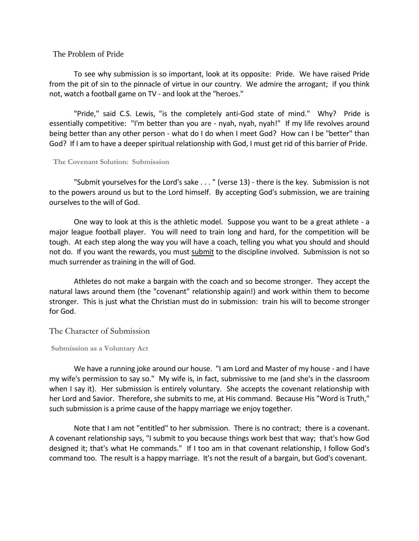# The Problem of Pride

To see why submission is so important, look at its opposite: Pride. We have raised Pride from the pit of sin to the pinnacle of virtue in our country. We admire the arrogant; if you think not, watch a football game on TV - and look at the "heroes."

"Pride," said C.S. Lewis, "is the completely anti-God state of mind." Why? Pride is essentially competitive: "I'm better than you are - nyah, nyah, nyah!" If my life revolves around being better than any other person - what do I do when I meet God? How can I be "better" than God? If I am to have a deeper spiritual relationship with God, I must get rid of this barrier of Pride.

# **The Covenant Solution: Submission**

"Submit yourselves for the Lord's sake . . . " (verse 13) - there is the key. Submission is not to the powers around us but to the Lord himself. By accepting God's submission, we are training ourselves to the will of God.

One way to look at this is the athletic model. Suppose you want to be a great athlete - a major league football player. You will need to train long and hard, for the competition will be tough. At each step along the way you will have a coach, telling you what you should and should not do. If you want the rewards, you must submit to the discipline involved. Submission is not so much surrender as training in the will of God.

Athletes do not make a bargain with the coach and so become stronger. They accept the natural laws around them (the "covenant" relationship again!) and work within them to become stronger. This is just what the Christian must do in submission: train his will to become stronger for God.

# The Character of Submission

# **Submission as a Voluntary Act**

We have a running joke around our house. "I am Lord and Master of my house - and I have my wife's permission to say so." My wife is, in fact, submissive to me (and she's in the classroom when I say it). Her submission is entirely voluntary. She accepts the covenant relationship with her Lord and Savior. Therefore, she submits to me, at His command. Because His "Word is Truth," such submission is a prime cause of the happy marriage we enjoy together.

Note that I am not "entitled" to her submission. There is no contract; there is a covenant. A covenant relationship says, "I submit to you because things work best that way; that's how God designed it; that's what He commands." If I too am in that covenant relationship, I follow God's command too. The result is a happy marriage. It's not the result of a bargain, but God's covenant.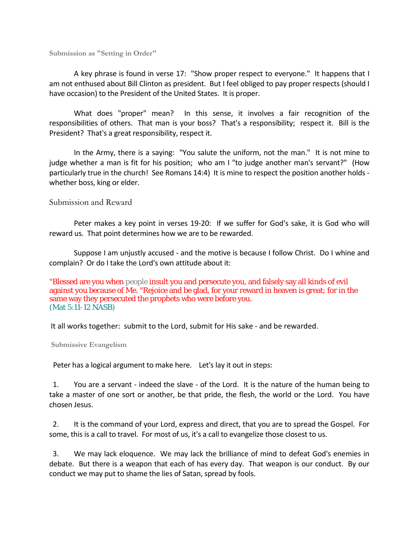**Submission as "Setting in Order"** 

A key phrase is found in verse 17: "Show proper respect to everyone." It happens that I am not enthused about Bill Clinton as president. But I feel obliged to pay proper respects (should I have occasion) to the President of the United States. It is proper.

What does "proper" mean? In this sense, it involves a fair recognition of the responsibilities of others. That man is your boss? That's a responsibility; respect it. Bill is the President? That's a great responsibility, respect it.

In the Army, there is a saying: "You salute the uniform, not the man." It is not mine to judge whether a man is fit for his position; who am I "to judge another man's servant?" (How particularly true in the church! See Romans 14:4) It is mine to respect the position another holds whether boss, king or elder.

# Submission and Reward

Peter makes a key point in verses 19-20: If we suffer for God's sake, it is God who will reward us. That point determines how we are to be rewarded.

Suppose I am unjustly accused - and the motive is because I follow Christ. Do I whine and complain? Or do I take the Lord's own attitude about it:

"Blessed are you when *people* insult you and persecute you, and falsely say all kinds of evil against you because of Me. "Rejoice and be glad, for your reward in heaven is great; for in the same way they persecuted the prophets who were before you. (Mat 5:11-12 NASB)

It all works together: submit to the Lord, submit for His sake - and be rewarded.

**Submissive Evangelism** 

Peter has a logical argument to make here. Let's lay it out in steps:

1. You are a servant - indeed the slave - of the Lord. It is the nature of the human being to take a master of one sort or another, be that pride, the flesh, the world or the Lord. You have chosen Jesus.

2. It is the command of your Lord, express and direct, that you are to spread the Gospel. For some, this is a call to travel. For most of us, it's a call to evangelize those closest to us.

3. We may lack eloquence. We may lack the brilliance of mind to defeat God's enemies in debate. But there is a weapon that each of has every day. That weapon is our conduct. By our conduct we may put to shame the lies of Satan, spread by fools.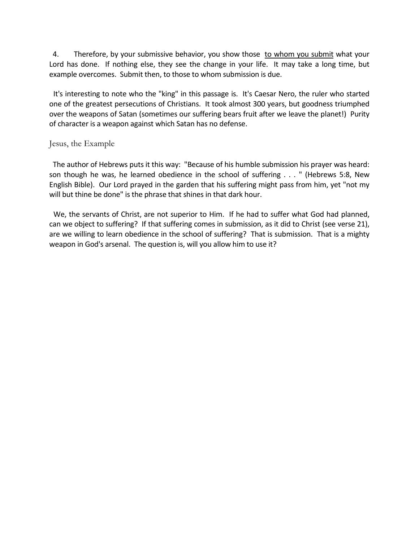4. Therefore, by your submissive behavior, you show those to whom you submit what your Lord has done. If nothing else, they see the change in your life. It may take a long time, but example overcomes. Submit then, to those to whom submission is due.

It's interesting to note who the "king" in this passage is. It's Caesar Nero, the ruler who started one of the greatest persecutions of Christians. It took almost 300 years, but goodness triumphed over the weapons of Satan (sometimes our suffering bears fruit after we leave the planet!) Purity of character is a weapon against which Satan has no defense.

# Jesus, the Example

The author of Hebrews puts it this way: "Because of his humble submission his prayer was heard: son though he was, he learned obedience in the school of suffering . . . " (Hebrews 5:8, New English Bible). Our Lord prayed in the garden that his suffering might pass from him, yet "not my will but thine be done" is the phrase that shines in that dark hour.

We, the servants of Christ, are not superior to Him. If he had to suffer what God had planned, can we object to suffering? If that suffering comes in submission, as it did to Christ (see verse 21), are we willing to learn obedience in the school of suffering? That is submission. That is a mighty weapon in God's arsenal. The question is, will you allow him to use it?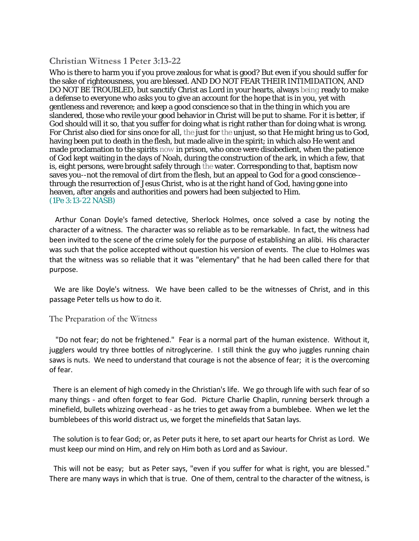# <span id="page-12-0"></span>**Christian Witness 1 Peter 3:13-22**

Who is there to harm you if you prove zealous for what is good? But even if you should suffer for the sake of righteousness, you are blessed. AND DO NOT FEAR THEIR INTIMIDATION, AND DO NOT BE TROUBLED, but sanctify Christ as Lord in your hearts, always *being* ready to make a defense to everyone who asks you to give an account for the hope that is in you, yet with gentleness and reverence; and keep a good conscience so that in the thing in which you are slandered, those who revile your good behavior in Christ will be put to shame. For it is better, if God should will it so, that you suffer for doing what is right rather than for doing what is wrong. For Christ also died for sins once for all, *the* just for *the* unjust, so that He might bring us to God, having been put to death in the flesh, but made alive in the spirit; in which also He went and made proclamation to the spirits *now* in prison, who once were disobedient, when the patience of God kept waiting in the days of Noah, during the construction of the ark, in which a few, that is, eight persons, were brought safely through *the* water. Corresponding to that, baptism now saves you--not the removal of dirt from the flesh, but an appeal to God for a good conscience- through the resurrection of Jesus Christ, who is at the right hand of God, having gone into heaven, after angels and authorities and powers had been subjected to Him. (1Pe 3:13-22 NASB)

Arthur Conan Doyle's famed detective, Sherlock Holmes, once solved a case by noting the character of a witness. The character was so reliable as to be remarkable. In fact, the witness had been invited to the scene of the crime solely for the purpose of establishing an alibi. His character was such that the police accepted without question his version of events. The clue to Holmes was that the witness was so reliable that it was "elementary" that he had been called there for that purpose.

We are like Doyle's witness. We have been called to be the witnesses of Christ, and in this passage Peter tells us how to do it.

# The Preparation of the Witness

 "Do not fear; do not be frightened." Fear is a normal part of the human existence. Without it, jugglers would try three bottles of nitroglycerine. I still think the guy who juggles running chain saws is nuts. We need to understand that courage is not the absence of fear; it is the overcoming of fear.

There is an element of high comedy in the Christian's life. We go through life with such fear of so many things - and often forget to fear God. Picture Charlie Chaplin, running berserk through a minefield, bullets whizzing overhead - as he tries to get away from a bumblebee. When we let the bumblebees of this world distract us, we forget the minefields that Satan lays.

The solution is to fear God; or, as Peter puts it here, to set apart our hearts for Christ as Lord. We must keep our mind on Him, and rely on Him both as Lord and as Saviour.

This will not be easy; but as Peter says, "even if you suffer for what is right, you are blessed." There are many ways in which that is true. One of them, central to the character of the witness, is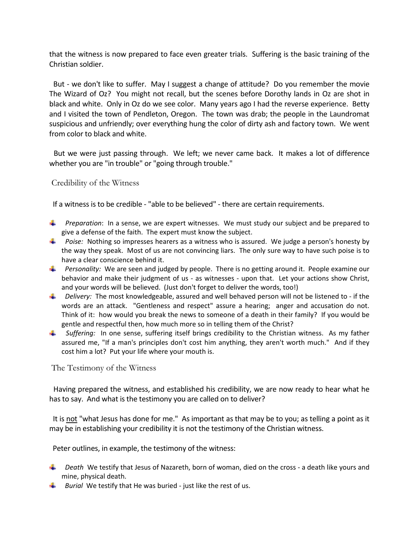that the witness is now prepared to face even greater trials. Suffering is the basic training of the Christian soldier.

But - we don't like to suffer. May I suggest a change of attitude? Do you remember the movie The Wizard of Oz? You might not recall, but the scenes before Dorothy lands in Oz are shot in black and white. Only in Oz do we see color. Many years ago I had the reverse experience. Betty and I visited the town of Pendleton, Oregon. The town was drab; the people in the Laundromat suspicious and unfriendly; over everything hung the color of dirty ash and factory town. We went from color to black and white.

But we were just passing through. We left; we never came back. It makes a lot of difference whether you are "in trouble" or "going through trouble."

Credibility of the Witness

If a witness is to be credible - "able to be believed" - there are certain requirements.

- **Preparation:** In a sense, we are expert witnesses. We must study our subject and be prepared to give a defense of the faith. The expert must know the subject.
- **Poise:** Nothing so impresses hearers as a witness who is assured. We judge a person's honesty by the way they speak. Most of us are not convincing liars. The only sure way to have such poise is to have a clear conscience behind it.
- **Personality:** We are seen and judged by people. There is no getting around it. People examine our behavior and make their judgment of us - as witnesses - upon that. Let your actions show Christ, and your words will be believed. (Just don't forget to deliver the words, too!)
- *Delivery:* The most knowledgeable, assured and well behaved person will not be listened to if the words are an attack. "Gentleness and respect" assure a hearing; anger and accusation do not. Think of it: how would you break the news to someone of a death in their family? If you would be gentle and respectful then, how much more so in telling them of the Christ?
- *Suffering:* In one sense, suffering itself brings credibility to the Christian witness. As my father assured me, "If a man's principles don't cost him anything, they aren't worth much." And if they cost him a lot? Put your life where your mouth is.

The Testimony of the Witness

Having prepared the witness, and established his credibility, we are now ready to hear what he has to say. And what is the testimony you are called on to deliver?

It is not "what Jesus has done for me." As important as that may be to you; as telling a point as it may be in establishing your credibility it is not the testimony of the Christian witness.

Peter outlines, in example, the testimony of the witness:

- **Learth** We testify that Jesus of Nazareth, born of woman, died on the cross a death like yours and mine, physical death.
- **Burial** We testify that He was buried just like the rest of us.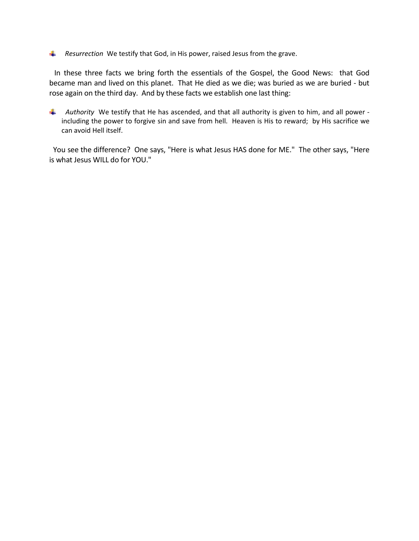**A** Resurrection We testify that God, in His power, raised Jesus from the grave.

In these three facts we bring forth the essentials of the Gospel, the Good News: that God became man and lived on this planet. That He died as we die; was buried as we are buried - but rose again on the third day. And by these facts we establish one last thing:

*Authority* We testify that He has ascended, and that all authority is given to him, and all power including the power to forgive sin and save from hell. Heaven is His to reward; by His sacrifice we can avoid Hell itself.

You see the difference? One says, "Here is what Jesus HAS done for ME." The other says, "Here is what Jesus WILL do for YOU."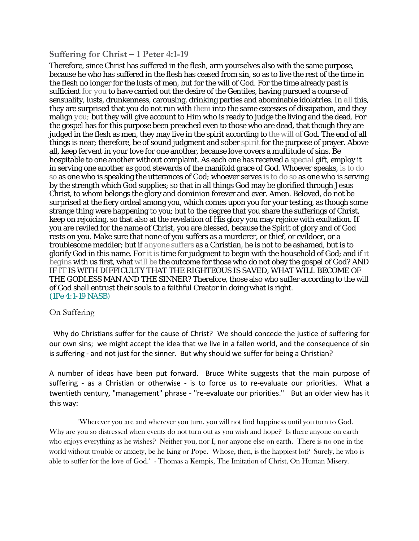# <span id="page-15-0"></span>**Suffering for Christ – 1 Peter 4:1-19**

Therefore, since Christ has suffered in the flesh, arm yourselves also with the same purpose, because he who has suffered in the flesh has ceased from sin, so as to live the rest of the time in the flesh no longer for the lusts of men, but for the will of God. For the time already past is sufficient *for you* to have carried out the desire of the Gentiles, having pursued a course of sensuality, lusts, drunkenness, carousing, drinking parties and abominable idolatries. In *all* this, they are surprised that you do not run with *them* into the same excesses of dissipation, and they malign *you;* but they will give account to Him who is ready to judge the living and the dead. For the gospel has for this purpose been preached even to those who are dead, that though they are judged in the flesh as men, they may live in the spirit according to *the will of* God. The end of all things is near; therefore, be of sound judgment and sober *spirit* for the purpose of prayer. Above all, keep fervent in your love for one another, because love covers a multitude of sins. Be hospitable to one another without complaint. As each one has received a *special* gift, employ it in serving one another as good stewards of the manifold grace of God. Whoever speaks, *is to do so* as one who is speaking the utterances of God; whoever serves *is to do so* as one who is serving by the strength which God supplies; so that in all things God may be glorified through Jesus Christ, to whom belongs the glory and dominion forever and ever. Amen. Beloved, do not be surprised at the fiery ordeal among you, which comes upon you for your testing, as though some strange thing were happening to you; but to the degree that you share the sufferings of Christ, keep on rejoicing, so that also at the revelation of His glory you may rejoice with exultation. If you are reviled for the name of Christ, you are blessed, because the Spirit of glory and of God rests on you. Make sure that none of you suffers as a murderer, or thief, or evildoer, or a troublesome meddler; but if *anyone suffers* as a Christian, he is not to be ashamed, but is to glorify God in this name. For *it is* time for judgment to begin with the household of God; and if *it begins* with us first, what *will be* the outcome for those who do not obey the gospel of God? AND IF IT IS WITH DIFFICULTY THAT THE RIGHTEOUS IS SAVED, WHAT WILL BECOME OF THE GODLESS MAN AND THE SINNER? Therefore, those also who suffer according to the will of God shall entrust their souls to a faithful Creator in doing what is right. (1Pe 4:1-19 NASB)

# On Suffering

Why do Christians suffer for the cause of Christ? We should concede the justice of suffering for our own sins; we might accept the idea that we live in a fallen world, and the consequence of sin is suffering - and not just for the sinner. But why should we suffer for being a Christian?

A number of ideas have been put forward. Bruce White suggests that the main purpose of suffering - as a Christian or otherwise - is to force us to re-evaluate our priorities. What a twentieth century, "management" phrase - "re-evaluate our priorities." But an older view has it this way:

"Wherever you are and wherever you turn, you will not find happiness until you turn to God. Why are you so distressed when events do not turn out as you wish and hope? Is there anyone on earth who enjoys everything as he wishes? Neither you, nor I, nor anyone else on earth. There is no one in the world without trouble or anxiety, be he King or Pope. Whose, then, is the happiest lot? Surely, he who is able to suffer for the love of God." - Thomas a Kempis, The Imitation of Christ, On Human Misery.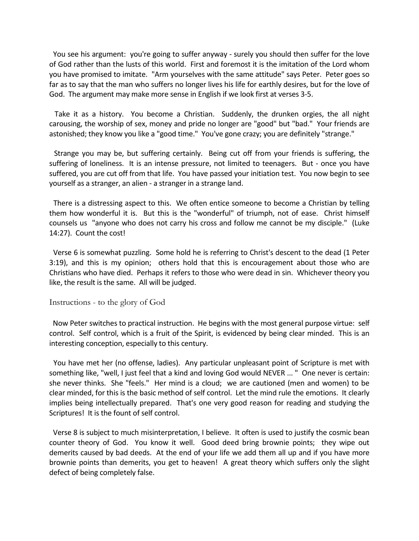You see his argument: you're going to suffer anyway - surely you should then suffer for the love of God rather than the lusts of this world. First and foremost it is the imitation of the Lord whom you have promised to imitate. "Arm yourselves with the same attitude" says Peter. Peter goes so far as to say that the man who suffers no longer lives his life for earthly desires, but for the love of God. The argument may make more sense in English if we look first at verses 3-5.

Take it as a history. You become a Christian. Suddenly, the drunken orgies, the all night carousing, the worship of sex, money and pride no longer are "good" but "bad." Your friends are astonished; they know you like a "good time." You've gone crazy; you are definitely "strange."

Strange you may be, but suffering certainly. Being cut off from your friends is suffering, the suffering of loneliness. It is an intense pressure, not limited to teenagers. But - once you have suffered, you are cut off from that life. You have passed your initiation test. You now begin to see yourself as a stranger, an alien - a stranger in a strange land.

There is a distressing aspect to this. We often entice someone to become a Christian by telling them how wonderful it is. But this is the "wonderful" of triumph, not of ease. Christ himself counsels us "anyone who does not carry his cross and follow me cannot be my disciple." (Luke 14:27). Count the cost!

Verse 6 is somewhat puzzling. Some hold he is referring to Christ's descent to the dead (1 Peter 3:19), and this is my opinion; others hold that this is encouragement about those who are Christians who have died. Perhaps it refers to those who were dead in sin. Whichever theory you like, the result is the same. All will be judged.

Instructions - to the glory of God

Now Peter switches to practical instruction. He begins with the most general purpose virtue: self control. Self control, which is a fruit of the Spirit, is evidenced by being clear minded. This is an interesting conception, especially to this century.

You have met her (no offense, ladies). Any particular unpleasant point of Scripture is met with something like, "well, I just feel that a kind and loving God would NEVER ... " One never is certain: she never thinks. She "feels." Her mind is a cloud; we are cautioned (men and women) to be clear minded, for this is the basic method of self control. Let the mind rule the emotions. It clearly implies being intellectually prepared. That's one very good reason for reading and studying the Scriptures! It is the fount of self control.

Verse 8 is subject to much misinterpretation, I believe. It often is used to justify the cosmic bean counter theory of God. You know it well. Good deed bring brownie points; they wipe out demerits caused by bad deeds. At the end of your life we add them all up and if you have more brownie points than demerits, you get to heaven! A great theory which suffers only the slight defect of being completely false.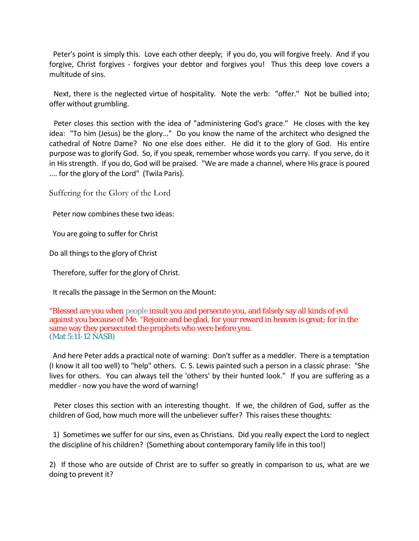Peter's point is simply this. Love each other deeply; if you do, you will forgive freely. And if you forgive, Christ forgives - forgives your debtor and forgives you! Thus this deep love covers a multitude of sins.

Next, there is the neglected virtue of hospitality. Note the verb: "offer." Not be bullied into; offer without grumbling.

Peter closes this section with the idea of "administering God's grace." He closes with the key idea: "To him (Jesus) be the glory..." Do you know the name of the architect who designed the cathedral of Notre Dame? No one else does either. He did it to the glory of God. His entire purpose was to glorify God. So, if you speak, remember whose words you carry. If you serve, do it in His strength. If you do, God will be praised. "We are made a channel, where His grace is poured .... for the glory of the Lord" (Twila Paris).

Suffering for the Glory of the Lord

Peter now combines these two ideas:

You are going to suffer for Christ

Do all things to the glory of Christ

Therefore, suffer for the glory of Christ.

It recalls the passage in the Sermon on the Mount:

"Blessed are you when *people* insult you and persecute you, and falsely say all kinds of evil against you because of Me. "Rejoice and be glad, for your reward in heaven is great; for in the same way they persecuted the prophets who were before you. (Mat 5:11-12 NASB)

And here Peter adds a practical note of warning: Don't suffer as a meddler. There is a temptation (I know it all too well) to "help" others. C. S. Lewis painted such a person in a classic phrase: "She lives for others. You can always tell the 'others' by their hunted look." If you are suffering as a meddler - now you have the word of warning!

Peter closes this section with an interesting thought. If we, the children of God, suffer as the children of God, how much more will the unbeliever suffer? This raises these thoughts:

1) Sometimes we suffer for our sins, even as Christians. Did you really expect the Lord to neglect the discipline of his children? (Something about contemporary family life in this too!)

2) If those who are outside of Christ are to suffer so greatly in comparison to us, what are we doing to prevent it?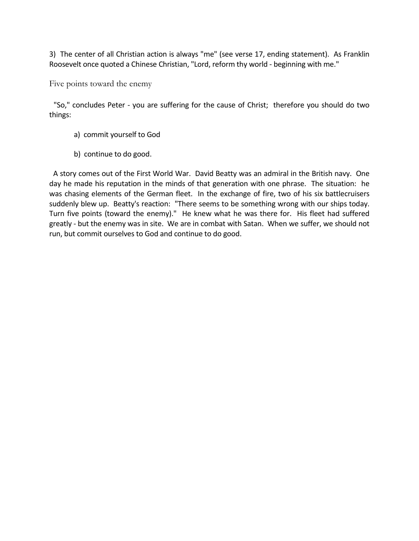3) The center of all Christian action is always "me" (see verse 17, ending statement). As Franklin Roosevelt once quoted a Chinese Christian, "Lord, reform thy world - beginning with me."

Five points toward the enemy

"So," concludes Peter - you are suffering for the cause of Christ; therefore you should do two things:

- a) commit yourself to God
- b) continue to do good.

A story comes out of the First World War. David Beatty was an admiral in the British navy. One day he made his reputation in the minds of that generation with one phrase. The situation: he was chasing elements of the German fleet. In the exchange of fire, two of his six battlecruisers suddenly blew up. Beatty's reaction: "There seems to be something wrong with our ships today. Turn five points (toward the enemy)." He knew what he was there for. His fleet had suffered greatly - but the enemy was in site. We are in combat with Satan. When we suffer, we should not run, but commit ourselves to God and continue to do good.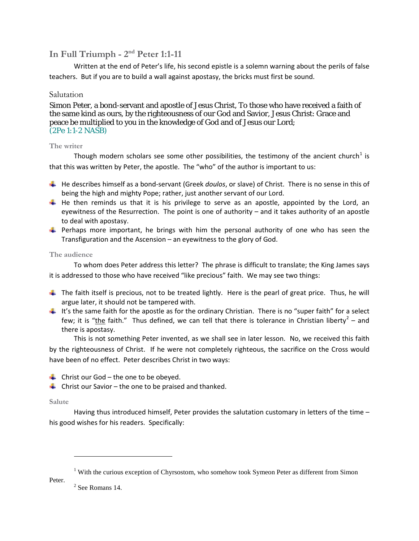# <span id="page-19-0"></span>**In Full Triumph - 2nd Peter 1:1-11**

Written at the end of Peter's life, his second epistle is a solemn warning about the perils of false teachers. But if you are to build a wall against apostasy, the bricks must first be sound.

# Salutation

Simon Peter, a bond-servant and apostle of Jesus Christ, To those who have received a faith of the same kind as ours, by the righteousness of our God and Savior, Jesus Christ: Grace and peace be multiplied to you in the knowledge of God and of Jesus our Lord; (2Pe 1:1-2 NASB)

# **The writer**

Though modern scholars see some other possibilities, the testimony of the ancient church<sup>[1](#page-19-1)</sup> is that this was written by Peter, the apostle. The "who" of the author is important to us:

- He describes himself as a bond-servant (Greek *doulos*, or slave) of Christ. There is no sense in this of being the high and mighty Pope; rather, just another servant of our Lord.
- $\ddot$  He then reminds us that it is his privilege to serve as an apostle, appointed by the Lord, an eyewitness of the Resurrection. The point is one of authority – and it takes authority of an apostle to deal with apostasy.
- **Perhaps more important, he brings with him the personal authority of one who has seen the** Transfiguration and the Ascension – an eyewitness to the glory of God.

# **The audience**

To whom does Peter address this letter? The phrase is difficult to translate; the King James says it is addressed to those who have received "like precious" faith. We may see two things:

- $\ddot{+}$  The faith itself is precious, not to be treated lightly. Here is the pearl of great price. Thus, he will argue later, it should not be tampered with.
- $\ddot{\phantom{1}}$  It's the same faith for the apostle as for the ordinary Christian. There is no "super faith" for a select few; it is "the faith." Thus defined, we can tell that there is tolerance in Christian liberty<sup>[2](#page-19-2)</sup> – and there is apostasy.

This is not something Peter invented, as we shall see in later lesson. No, we received this faith by the righteousness of Christ. If he were not completely righteous, the sacrifice on the Cross would have been of no effect. Peter describes Christ in two ways:

**Christ our God – the one to be obeyed.** 

 $\triangleq$  Christ our Savior – the one to be praised and thanked.

# **Salute**

Having thus introduced himself, Peter provides the salutation customary in letters of the time – his good wishes for his readers. Specifically:

l

 $<sup>1</sup>$  With the curious exception of Chyrsostom, who somehow took Symeon Peter as different from Simon</sup>

<span id="page-19-2"></span><span id="page-19-1"></span>Peter. <sup>2</sup> See Romans 14.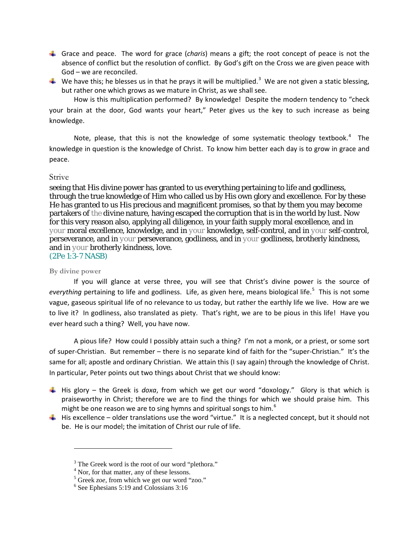- Grace and peace. The word for grace (*charis*) means a gift; the root concept of peace is not the absence of conflict but the resolution of conflict. By God's gift on the Cross we are given peace with God – we are reconciled.
- We have this; he blesses us in that he prays it will be multiplied.<sup>[3](#page-20-0)</sup> We are not given a static blessing, but rather one which grows as we mature in Christ, as we shall see.

How is this multiplication performed? By knowledge! Despite the modern tendency to "check your brain at the door, God wants your heart," Peter gives us the key to such increase as being knowledge.

Note, please, that this is not the knowledge of some systematic theology textbook.<sup>[4](#page-20-1)</sup> The knowledge in question is the knowledge of Christ. To know him better each day is to grow in grace and peace.

# Strive

seeing that His divine power has granted to us everything pertaining to life and godliness, through the true knowledge of Him who called us by His own glory and excellence. For by these He has granted to us His precious and magnificent promises, so that by them you may become partakers of *the* divine nature, having escaped the corruption that is in the world by lust. Now for this very reason also, applying all diligence, in your faith supply moral excellence, and in *your* moral excellence, knowledge, and in *your* knowledge, self-control, and in *your* self-control, perseverance, and in *your* perseverance, godliness, and in *your* godliness, brotherly kindness, and in *your* brotherly kindness, love. (2Pe 1:3-7 NASB)

# **By divine power**

 $\overline{\phantom{a}}$ 

If you will glance at verse three, you will see that Christ's divine power is the source of everything pertaining to life and godliness. Life, as given here, means biological life.<sup>[5](#page-20-2)</sup> This is not some vague, gaseous spiritual life of no relevance to us today, but rather the earthly life we live. How are we to live it? In godliness, also translated as piety. That's right, we are to be pious in this life! Have you ever heard such a thing? Well, you have now.

A pious life? How could I possibly attain such a thing? I'm not a monk, or a priest, or some sort of super-Christian. But remember – there is no separate kind of faith for the "super-Christian." It's the same for all; apostle and ordinary Christian. We attain this (I say again) through the knowledge of Christ. In particular, Peter points out two things about Christ that we should know:

- His glory the Greek is *doxa*, from which we get our word "doxology." Glory is that which is praiseworthy in Christ; therefore we are to find the things for which we should praise him. This might be one reason we are to sing hymns and spiritual songs to him.<sup>[6](#page-20-3)</sup>
- <span id="page-20-1"></span><span id="page-20-0"></span> $\ddot{+}$  His excellence – older translations use the word "virtue." It is a neglected concept, but it should not be. He is our model; the imitation of Christ our rule of life.

 $3$  The Greek word is the root of our word "plethora."  $4$  Nor, for that matter, any of these lessons.

<span id="page-20-3"></span><span id="page-20-2"></span><sup>&</sup>lt;sup>5</sup> Greek *zoe*, from which we get our word "zoo." <sup>6</sup> See Ephesians 5:19 and Colossians 3:16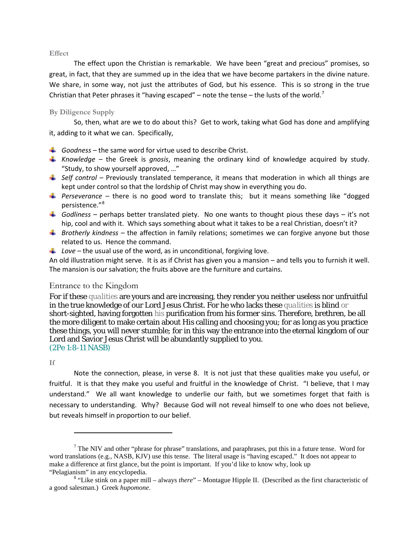#### **Effect**

The effect upon the Christian is remarkable. We have been "great and precious" promises, so great, in fact, that they are summed up in the idea that we have become partakers in the divine nature. We share, in some way, not just the attributes of God, but his essence. This is so strong in the true Christian that Peter phrases it "having escaped" – note the tense – the lusts of the world.<sup>[7](#page-21-0)</sup>

#### **By Diligence Supply**

So, then, what are we to do about this? Get to work, taking what God has done and amplifying it, adding to it what we can. Specifically,

- *Goodness –* the same word for virtue used to describe Christ.
- *Knowledge –* the Greek is *gnosis*, meaning the ordinary kind of knowledge acquired by study. "Study, to show yourself approved, …"
- *Self control –* Previously translated temperance, it means that moderation in which all things are kept under control so that the lordship of Christ may show in everything you do.
- **Perseverance** there is no good word to translate this; but it means something like "dogged" persistence."[8](#page-21-1)
- **4** Godliness perhaps better translated piety. No one wants to thought pious these days it's not hip, cool and with it. Which says something about what it takes to be a real Christian, doesn't it?
- **Brotherly kindness the affection in family relations; sometimes we can forgive anyone but those** related to us. Hence the command.
- ↓ *Love* the usual use of the word, as in unconditional, forgiving love.

An old illustration might serve. It is as if Christ has given you a mansion – and tells you to furnish it well. The mansion is our salvation; the fruits above are the furniture and curtains.

# Entrance to the Kingdom

For if these *qualities* are yours and are increasing, they render you neither useless nor unfruitful in the true knowledge of our Lord Jesus Christ. For he who lacks these *qualities* is blind *or* short-sighted, having forgotten *his* purification from his former sins. Therefore, brethren, be all the more diligent to make certain about His calling and choosing you; for as long as you practice these things, you will never stumble; for in this way the entrance into the eternal kingdom of our Lord and Savior Jesus Christ will be abundantly supplied to you. (2Pe 1:8-11 NASB)

**If**

l

Note the connection, please, in verse 8. It is not just that these qualities make you useful, or fruitful. It is that they make you useful and fruitful in the knowledge of Christ. "I believe, that I may understand." We all want knowledge to underlie our faith, but we sometimes forget that faith is necessary to understanding. Why? Because God will not reveal himself to one who does not believe, but reveals himself in proportion to our belief.

<span id="page-21-0"></span> $<sup>7</sup>$  The NIV and other "phrase for phrase" translations, and paraphrases, put this in a future tense. Word for</sup> word translations (e.g., NASB, KJV) use this tense. The literal usage is "having escaped." It does not appear to make a difference at first glance, but the point is important. If you'd like to know why, look up "Pelagianism" in any encyclopedia.<br><sup>8</sup> "Like stink on a paper mill – always *there*" – Montague Hipple II. (Described as the first characteristic of

<span id="page-21-1"></span>a good salesman.) Greek *hupomone*.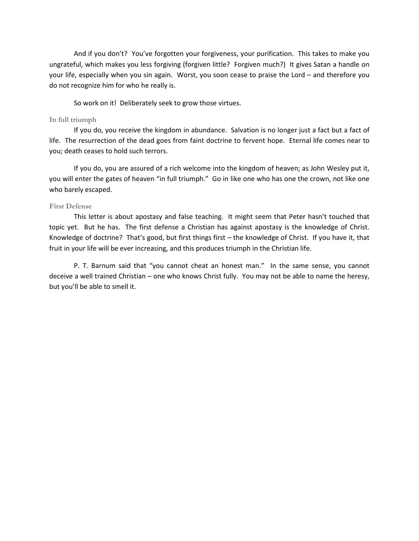And if you don't? You've forgotten your forgiveness, your purification. This takes to make you ungrateful, which makes you less forgiving (forgiven little? Forgiven much?) It gives Satan a handle on your life, especially when you sin again. Worst, you soon cease to praise the Lord – and therefore you do not recognize him for who he really is.

So work on it! Deliberately seek to grow those virtues.

#### **In full triumph**

If you do, you receive the kingdom in abundance. Salvation is no longer just a fact but a fact of life. The resurrection of the dead goes from faint doctrine to fervent hope. Eternal life comes near to you; death ceases to hold such terrors.

If you do, you are assured of a rich welcome into the kingdom of heaven; as John Wesley put it, you will enter the gates of heaven "in full triumph." Go in like one who has one the crown, not like one who barely escaped.

#### **First Defense**

This letter is about apostasy and false teaching. It might seem that Peter hasn't touched that topic yet. But he has. The first defense a Christian has against apostasy is the knowledge of Christ. Knowledge of doctrine? That's good, but first things first – the knowledge of Christ. If you have it, that fruit in your life will be ever increasing, and this produces triumph in the Christian life.

P. T. Barnum said that "you cannot cheat an honest man." In the same sense, you cannot deceive a well trained Christian – one who knows Christ fully. You may not be able to name the heresy, but you'll be able to smell it.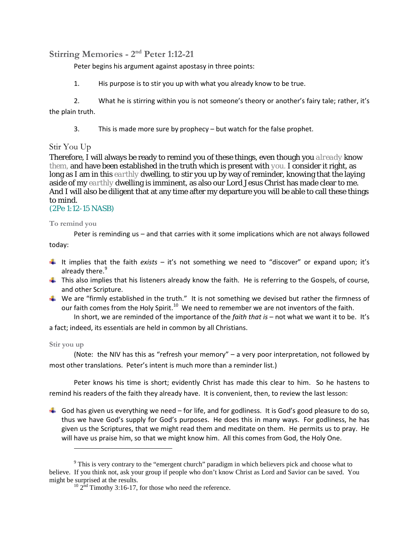# <span id="page-23-0"></span>**Stirring Memories - 2nd Peter 1:12-21**

Peter begins his argument against apostasy in three points:

1. His purpose is to stir you up with what you already know to be true.

2. What he is stirring within you is not someone's theory or another's fairy tale; rather, it's the plain truth.

3. This is made more sure by prophecy – but watch for the false prophet.

# Stir You Up

Therefore, I will always be ready to remind you of these things, even though you *already* know *them,* and have been established in the truth which is present with *you.* I consider it right, as long as I am in this *earthly* dwelling, to stir you up by way of reminder, knowing that the laying aside of my *earthly* dwelling is imminent, as also our Lord Jesus Christ has made clear to me. And I will also be diligent that at any time after my departure you will be able to call these things to mind.

# (2Pe 1:12-15 NASB)

# **To remind you**

Peter is reminding us – and that carries with it some implications which are not always followed today:

- It implies that the faith *exists* it's not something we need to "discover" or expand upon; it's already there.<sup>[9](#page-23-1)</sup>
- $\ddot{\phantom{1}}$  This also implies that his listeners already know the faith. He is referring to the Gospels, of course, and other Scripture.
- We are "firmly established in the truth." It is not something we devised but rather the firmness of our faith comes from the Holy Spirit.<sup>10</sup> We need to remember we are not inventors of the faith.

In short, we are reminded of the importance of the *faith that is* – not what we want it to be. It's a fact; indeed, its essentials are held in common by all Christians.

# **Stir you up**

 $\overline{\phantom{a}}$ 

(Note: the NIV has this as "refresh your memory" – a very poor interpretation, not followed by most other translations. Peter's intent is much more than a reminder list.)

Peter knows his time is short; evidently Christ has made this clear to him. So he hastens to remind his readers of the faith they already have. It is convenient, then, to review the last lesson:

God has given us everything we need – for life, and for godliness. It is God's good pleasure to do so, thus we have God's supply for God's purposes. He does this in many ways. For godliness, he has given us the Scriptures, that we might read them and meditate on them. He permits us to pray. He will have us praise him, so that we might know him. All this comes from God, the Holy One.

<span id="page-23-2"></span><span id="page-23-1"></span><sup>&</sup>lt;sup>9</sup> This is very contrary to the "emergent church" paradigm in which believers pick and choose what to believe. If you think not, ask your group if people who don't know Christ as Lord and Savior can be saved. You might be surprised at the results.<br><sup>10</sup>  $2<sup>nd</sup>$  Timothy 3:16-17, for those who need the reference.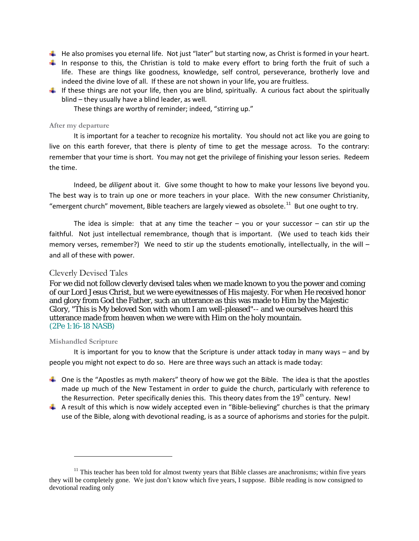- $\downarrow$  He also promises you eternal life. Not just "later" but starting now, as Christ is formed in your heart.
- In response to this, the Christian is told to make every effort to bring forth the fruit of such a life. These are things like goodness, knowledge, self control, perseverance, brotherly love and indeed the divine love of all. If these are not shown in your life, you are fruitless.
- If these things are not your life, then you are blind, spiritually. A curious fact about the spiritually blind – they usually have a blind leader, as well.

These things are worthy of reminder; indeed, "stirring up."

#### **After my departure**

It is important for a teacher to recognize his mortality. You should not act like you are going to live on this earth forever, that there is plenty of time to get the message across. To the contrary: remember that your time is short. You may not get the privilege of finishing your lesson series. Redeem the time.

Indeed, be *diligent* about it. Give some thought to how to make your lessons live beyond you. The best way is to train up one or more teachers in your place. With the new consumer Christianity, "emergent church" movement, Bible teachers are largely viewed as obsolete. $^{11}$  $^{11}$  $^{11}$  But one ought to try.

The idea is simple: that at any time the teacher  $-$  you or your successor  $-$  can stir up the faithful. Not just intellectual remembrance, though that is important. (We used to teach kids their memory verses, remember?) We need to stir up the students emotionally, intellectually, in the will – and all of these with power.

#### Cleverly Devised Tales

For we did not follow cleverly devised tales when we made known to you the power and coming of our Lord Jesus Christ, but we were eyewitnesses of His majesty. For when He received honor and glory from God the Father, such an utterance as this was made to Him by the Majestic Glory, "This is My beloved Son with whom I am well-pleased"-- and we ourselves heard this utterance made from heaven when we were with Him on the holy mountain. (2Pe 1:16-18 NASB)

#### **Mishandled Scripture**

l

It is important for you to know that the Scripture is under attack today in many ways – and by people you might not expect to do so. Here are three ways such an attack is made today:

- $\triangleq$  One is the "Apostles as myth makers" theory of how we got the Bible. The idea is that the apostles made up much of the New Testament in order to guide the church, particularly with reference to the Resurrection. Peter specifically denies this. This theory dates from the  $19<sup>th</sup>$  century. New!
- $\overline{+}$  A result of this which is now widely accepted even in "Bible-believing" churches is that the primary use of the Bible, along with devotional reading, is as a source of aphorisms and stories for the pulpit.

<span id="page-24-0"></span> $11$  This teacher has been told for almost twenty years that Bible classes are anachronisms; within five years they will be completely gone. We just don't know which five years, I suppose. Bible reading is now consigned to devotional reading only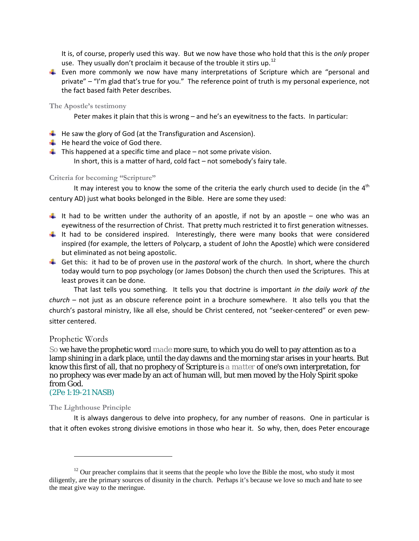It is, of course, properly used this way. But we now have those who hold that this is the *only* proper use. They usually don't proclaim it because of the trouble it stirs up.<sup>[12](#page-25-0)</sup>

Even more commonly we now have many interpretations of Scripture which are "personal and private" – "I'm glad that's true for you." The reference point of truth is my personal experience, not the fact based faith Peter describes.

**The Apostle's testimony**

Peter makes it plain that this is wrong – and he's an eyewitness to the facts. In particular:

- $\downarrow$  He saw the glory of God (at the Transfiguration and Ascension).
- $\bigstar$  He heard the voice of God there.
- $\downarrow$  This happened at a specific time and place not some private vision. In short, this is a matter of hard, cold fact – not somebody's fairy tale.

**Criteria for becoming "Scripture"**

It may interest you to know the some of the criteria the early church used to decide (in the  $4<sup>th</sup>$ century AD) just what books belonged in the Bible. Here are some they used:

- It had to be written under the authority of an apostle, if not by an apostle one who was an eyewitness of the resurrection of Christ. That pretty much restricted it to first generation witnesses.
- It had to be considered inspired. Interestingly, there were many books that were considered inspired (for example, the letters of Polycarp, a student of John the Apostle) which were considered but eliminated as not being apostolic.
- Get this: it had to be of proven use in the *pastoral* work of the church. In short, where the church today would turn to pop psychology (or James Dobson) the church then used the Scriptures. This at least proves it can be done.

That last tells you something. It tells you that doctrine is important *in the daily work of the church* – not just as an obscure reference point in a brochure somewhere. It also tells you that the church's pastoral ministry, like all else, should be Christ centered, not "seeker-centered" or even pewsitter centered.

# Prophetic Words

*So* we have the prophetic word *made* more sure, to which you do well to pay attention as to a lamp shining in a dark place, until the day dawns and the morning star arises in your hearts. But know this first of all, that no prophecy of Scripture is *a matter* of one's own interpretation, for no prophecy was ever made by an act of human will, but men moved by the Holy Spirit spoke from God.

# (2Pe 1:19-21 NASB)

l

# **The Lighthouse Principle**

It is always dangerous to delve into prophecy, for any number of reasons. One in particular is that it often evokes strong divisive emotions in those who hear it. So why, then, does Peter encourage

<span id="page-25-0"></span> $12$  Our preacher complains that it seems that the people who love the Bible the most, who study it most diligently, are the primary sources of disunity in the church. Perhaps it's because we love so much and hate to see the meat give way to the meringue.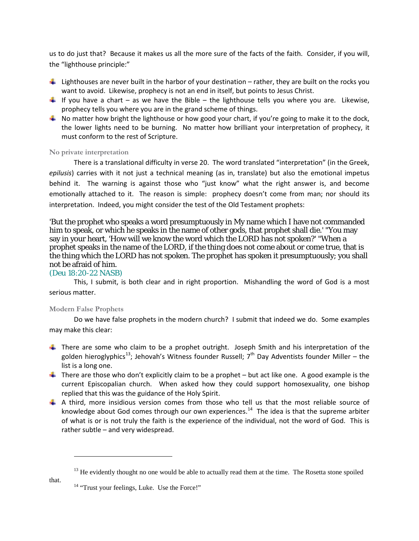us to do just that? Because it makes us all the more sure of the facts of the faith. Consider, if you will, the "lighthouse principle:"

- Lighthouses are never built in the harbor of your destination rather, they are built on the rocks you want to avoid. Likewise, prophecy is not an end in itself, but points to Jesus Christ.
- If you have a chart as we have the Bible the lighthouse tells you where you are. Likewise, prophecy tells you where you are in the grand scheme of things.
- $\downarrow$  No matter how bright the lighthouse or how good your chart, if you're going to make it to the dock, the lower lights need to be burning. No matter how brilliant your interpretation of prophecy, it must conform to the rest of Scripture.

#### **No private interpretation**

There is a translational difficulty in verse 20. The word translated "interpretation" (in the Greek, *epilusis*) carries with it not just a technical meaning (as in, translate) but also the emotional impetus behind it. The warning is against those who "just know" what the right answer is, and become emotionally attached to it. The reason is simple: prophecy doesn't come from man; nor should its interpretation. Indeed, you might consider the test of the Old Testament prophets:

'But the prophet who speaks a word presumptuously in My name which I have not commanded him to speak, or which he speaks in the name of other gods, that prophet shall die.' "You may say in your heart, 'How will we know the word which the LORD has not spoken?' "When a prophet speaks in the name of the LORD, if the thing does not come about or come true, that is the thing which the LORD has not spoken. The prophet has spoken it presumptuously; you shall not be afraid of him.

# (Deu 18:20-22 NASB)

This, I submit, is both clear and in right proportion. Mishandling the word of God is a most serious matter.

#### **Modern False Prophets**

Do we have false prophets in the modern church? I submit that indeed we do. Some examples may make this clear:

- $\ddot{\phantom{1}}$  There are some who claim to be a prophet outright. Joseph Smith and his interpretation of the golden hieroglyphics<sup>[13](#page-26-0)</sup>; Jehovah's Witness founder Russell; 7<sup>th</sup> Day Adventists founder Miller – the list is a long one.
- There are those who don't explicitly claim to be a prophet but act like one. A good example is the current Episcopalian church. When asked how they could support homosexuality, one bishop replied that this was the guidance of the Holy Spirit.
- A third, more insidious version comes from those who tell us that the most reliable source of knowledge about God comes through our own experiences.<sup>[14](#page-26-1)</sup> The idea is that the supreme arbiter of what is or is not truly the faith is the experience of the individual, not the word of God. This is rather subtle – and very widespread.

l

 $13$  He evidently thought no one would be able to actually read them at the time. The Rosetta stone spoiled

<span id="page-26-1"></span><span id="page-26-0"></span>that. <sup>14</sup> "Trust your feelings, Luke. Use the Force!"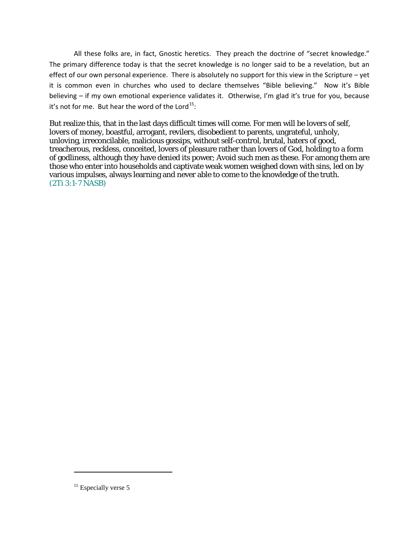All these folks are, in fact, Gnostic heretics. They preach the doctrine of "secret knowledge." The primary difference today is that the secret knowledge is no longer said to be a revelation, but an effect of our own personal experience. There is absolutely no support for this view in the Scripture – yet it is common even in churches who used to declare themselves "Bible believing." Now it's Bible believing – if my own emotional experience validates it. Otherwise, I'm glad it's true for you, because it's not for me. But hear the word of the Lord<sup>15</sup>:

But realize this, that in the last days difficult times will come. For men will be lovers of self, lovers of money, boastful, arrogant, revilers, disobedient to parents, ungrateful, unholy, unloving, irreconcilable, malicious gossips, without self-control, brutal, haters of good, treacherous, reckless, conceited, lovers of pleasure rather than lovers of God, holding to a form of godliness, although they have denied its power; Avoid such men as these. For among them are those who enter into households and captivate weak women weighed down with sins, led on by various impulses, always learning and never able to come to the knowledge of the truth. (2Ti 3:1-7 NASB)

l

<span id="page-27-0"></span><sup>&</sup>lt;sup>15</sup> Especially verse 5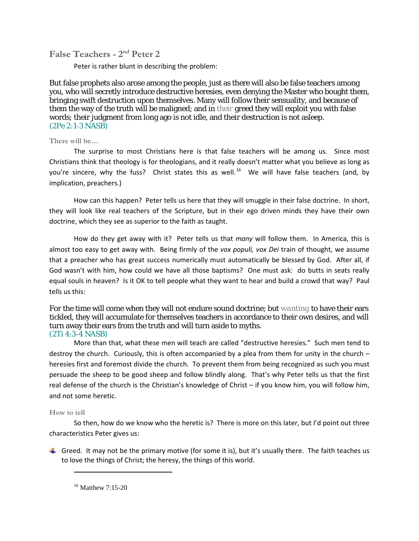# <span id="page-28-0"></span>**False Teachers - 2nd Peter 2**

Peter is rather blunt in describing the problem:

But false prophets also arose among the people, just as there will also be false teachers among you, who will secretly introduce destructive heresies, even denying the Master who bought them, bringing swift destruction upon themselves. Many will follow their sensuality, and because of them the way of the truth will be maligned; and in *their* greed they will exploit you with false words; their judgment from long ago is not idle, and their destruction is not asleep. (2Pe 2:1-3 NASB)

# **There will be…**

The surprise to most Christians here is that false teachers will be among us. Since most Christians think that theology is for theologians, and it really doesn't matter what you believe as long as you're sincere, why the fuss? Christ states this as well.<sup>[16](#page-28-1)</sup> We will have false teachers (and, by implication, preachers.)

How can this happen? Peter tells us here that they will smuggle in their false doctrine. In short, they will look like real teachers of the Scripture, but in their ego driven minds they have their own doctrine, which they see as superior to the faith as taught.

How do they get away with it? Peter tells us that *many* will follow them. In America, this is almost too easy to get away with. Being firmly of the *vox populi, vox Dei* train of thought, we assume that a preacher who has great success numerically must automatically be blessed by God. After all, if God wasn't with him, how could we have all those baptisms? One must ask: do butts in seats really equal souls in heaven? Is it OK to tell people what they want to hear and build a crowd that way? Paul tells us this:

# For the time will come when they will not endure sound doctrine; but *wanting* to have their ears tickled, they will accumulate for themselves teachers in accordance to their own desires, and will turn away their ears from the truth and will turn aside to myths. (2Ti 4:3-4 NASB)

More than that, what these men will teach are called "destructive heresies." Such men tend to destroy the church. Curiously, this is often accompanied by a plea from them for unity in the church – heresies first and foremost divide the church. To prevent them from being recognized as such you must persuade the sheep to be good sheep and follow blindly along. That's why Peter tells us that the first real defense of the church is the Christian's knowledge of Christ – if you know him, you will follow him, and not some heretic.

#### **How to tell**

l

So then, how do we know who the heretic is? There is more on this later, but I'd point out three characteristics Peter gives us:

<span id="page-28-1"></span>Greed. It may not be the primary motive (for some it is), but it's usually there. The faith teaches us to love the things of Christ; the heresy, the things of this world.

<sup>&</sup>lt;sup>16</sup> Matthew 7:15-20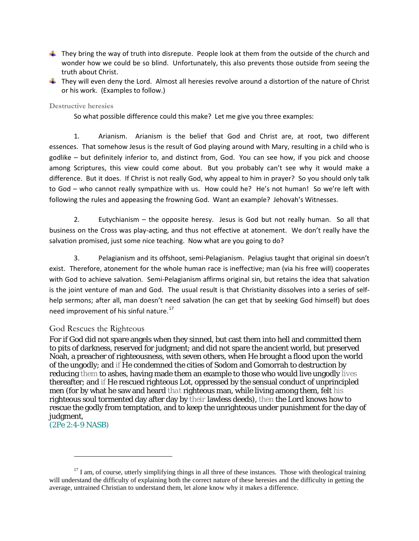- $\ddot{\phantom{1}}$  They bring the way of truth into disrepute. People look at them from the outside of the church and wonder how we could be so blind. Unfortunately, this also prevents those outside from seeing the truth about Christ.
- $\ddot{\phantom{1}}$  They will even deny the Lord. Almost all heresies revolve around a distortion of the nature of Christ or his work. (Examples to follow.)

**Destructive heresies**

So what possible difference could this make? Let me give you three examples:

1. Arianism. Arianism is the belief that God and Christ are, at root, two different essences. That somehow Jesus is the result of God playing around with Mary, resulting in a child who is godlike – but definitely inferior to, and distinct from, God. You can see how, if you pick and choose among Scriptures, this view could come about. But you probably can't see why it would make a difference. But it does. If Christ is not really God, why appeal to him in prayer? So you should only talk to God – who cannot really sympathize with us. How could he? He's not human! So we're left with following the rules and appeasing the frowning God. Want an example? Jehovah's Witnesses.

2. Eutychianism – the opposite heresy. Jesus is God but not really human. So all that business on the Cross was play-acting, and thus not effective at atonement. We don't really have the salvation promised, just some nice teaching. Now what are you going to do?

3. Pelagianism and its offshoot, semi-Pelagianism. Pelagius taught that original sin doesn't exist. Therefore, atonement for the whole human race is ineffective; man (via his free will) cooperates with God to achieve salvation. Semi-Pelagianism affirms original sin, but retains the idea that salvation is the joint venture of man and God. The usual result is that Christianity dissolves into a series of selfhelp sermons; after all, man doesn't need salvation (he can get that by seeking God himself) but does need improvement of his sinful nature.<sup>[17](#page-29-0)</sup>

# God Rescues the Righteous

For if God did not spare angels when they sinned, but cast them into hell and committed them to pits of darkness, reserved for judgment; and did not spare the ancient world, but preserved Noah, a preacher of righteousness, with seven others, when He brought a flood upon the world of the ungodly; and *if* He condemned the cities of Sodom and Gomorrah to destruction by reducing *them* to ashes, having made them an example to those who would live ungodly *lives* thereafter; and *if* He rescued righteous Lot, oppressed by the sensual conduct of unprincipled men (for by what he saw and heard *that* righteous man, while living among them, felt *his* righteous soul tormented day after day by *their* lawless deeds), *then* the Lord knows how to rescue the godly from temptation, and to keep the unrighteous under punishment for the day of judgment,

(2Pe 2:4-9 NASB)

l

<span id="page-29-0"></span> $17$  I am, of course, utterly simplifying things in all three of these instances. Those with theological training will understand the difficulty of explaining both the correct nature of these heresies and the difficulty in getting the average, untrained Christian to understand them, let alone know why it makes a difference.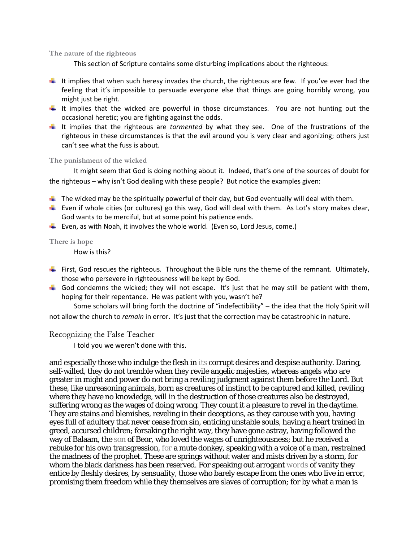**The nature of the righteous**

This section of Scripture contains some disturbing implications about the righteous:

- It implies that when such heresy invades the church, the righteous are few. If you've ever had the feeling that it's impossible to persuade everyone else that things are going horribly wrong, you might just be right.
- $\downarrow$  It implies that the wicked are powerful in those circumstances. You are not hunting out the occasional heretic; you are fighting against the odds.
- It implies that the righteous are *tormented* by what they see. One of the frustrations of the righteous in these circumstances is that the evil around you is very clear and agonizing; others just can't see what the fuss is about.

#### **The punishment of the wicked**

It might seem that God is doing nothing about it. Indeed, that's one of the sources of doubt for the righteous – why isn't God dealing with these people? But notice the examples given:

- $\downarrow$  The wicked may be the spiritually powerful of their day, but God eventually will deal with them.
- Even if whole cities (or cultures) go this way, God will deal with them. As Lot's story makes clear, God wants to be merciful, but at some point his patience ends.
- Even, as with Noah, it involves the whole world. (Even so, Lord Jesus, come.)

**There is hope**

How is this?

- First, God rescues the righteous. Throughout the Bible runs the theme of the remnant. Ultimately, those who persevere in righteousness will be kept by God.
- God condemns the wicked; they will not escape. It's just that he may still be patient with them, hoping for their repentance. He was patient with you, wasn't he?

Some scholars will bring forth the doctrine of "indefectibility" – the idea that the Holy Spirit will not allow the church to *remain* in error. It's just that the correction may be catastrophic in nature.

# Recognizing the False Teacher

I told you we weren't done with this.

and especially those who indulge the flesh in *its* corrupt desires and despise authority. Daring, self-willed, they do not tremble when they revile angelic majesties, whereas angels who are greater in might and power do not bring a reviling judgment against them before the Lord. But these, like unreasoning animals, born as creatures of instinct to be captured and killed, reviling where they have no knowledge, will in the destruction of those creatures also be destroyed, suffering wrong as the wages of doing wrong. They count it a pleasure to revel in the daytime. They are stains and blemishes, reveling in their deceptions, as they carouse with you, having eyes full of adultery that never cease from sin, enticing unstable souls, having a heart trained in greed, accursed children; forsaking the right way, they have gone astray, having followed the way of Balaam, the *son* of Beor, who loved the wages of unrighteousness; but he received a rebuke for his own transgression, *for* a mute donkey, speaking with a voice of a man, restrained the madness of the prophet. These are springs without water and mists driven by a storm, for whom the black darkness has been reserved. For speaking out arrogant *words* of vanity they entice by fleshly desires, by sensuality, those who barely escape from the ones who live in error, promising them freedom while they themselves are slaves of corruption; for by what a man is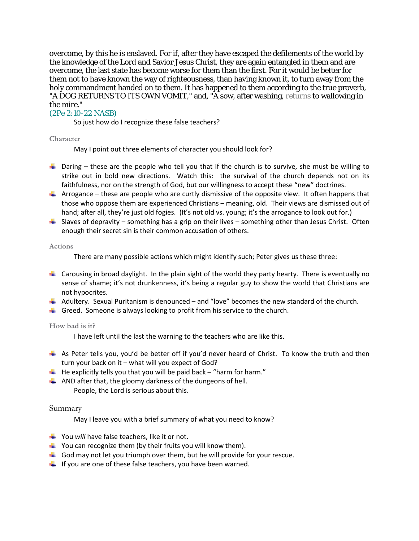overcome, by this he is enslaved. For if, after they have escaped the defilements of the world by the knowledge of the Lord and Savior Jesus Christ, they are again entangled in them and are overcome, the last state has become worse for them than the first. For it would be better for them not to have known the way of righteousness, than having known it, to turn away from the holy commandment handed on to them. It has happened to them according to the true proverb, "A DOG RETURNS TO ITS OWN VOMIT," and, "A sow, after washing, *returns* to wallowing in the mire."

# (2Pe 2:10-22 NASB)

So just how do I recognize these false teachers?

#### **Character**

May I point out three elements of character you should look for?

- $\ddot{\phantom{1}}$  Daring these are the people who tell you that if the church is to survive, she must be willing to strike out in bold new directions. Watch this: the survival of the church depends not on its faithfulness, nor on the strength of God, but our willingness to accept these "new" doctrines.
- **Arrogance** these are people who are curtly dismissive of the opposite view. It often happens that those who oppose them are experienced Christians – meaning, old. Their views are dismissed out of hand; after all, they're just old fogies. (It's not old vs. young; it's the arrogance to look out for.)
- Slaves of depravity something has a grip on their lives something other than Jesus Christ. Often enough their secret sin is their common accusation of others.

#### **Actions**

There are many possible actions which might identify such; Peter gives us these three:

- **L** Carousing in broad daylight. In the plain sight of the world they party hearty. There is eventually no sense of shame; it's not drunkenness, it's being a regular guy to show the world that Christians are not hypocrites.
- $\downarrow$  Adultery. Sexual Puritanism is denounced and "love" becomes the new standard of the church.
- Greed. Someone is always looking to profit from his service to the church.

**How bad is it?**

I have left until the last the warning to the teachers who are like this.

- As Peter tells you, you'd be better off if you'd never heard of Christ. To know the truth and then turn your back on it – what will you expect of God?
- $\ddot{\phantom{1}}$  He explicitly tells you that you will be paid back "harm for harm."
- $\triangleq$  AND after that, the gloomy darkness of the dungeons of hell. People, the Lord is serious about this.

#### Summary

May I leave you with a brief summary of what you need to know?

- You *will* have false teachers, like it or not.
- $\downarrow$  You can recognize them (by their fruits you will know them).
- $\ddot{\phantom{1}}$  God may not let you triumph over them, but he will provide for your rescue.
- $\downarrow$  If you are one of these false teachers, you have been warned.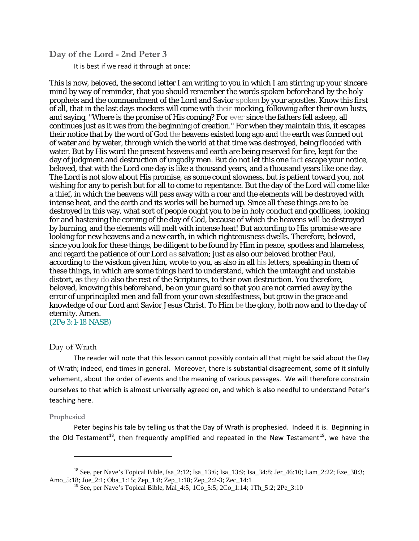# <span id="page-32-0"></span>**Day of the Lord - 2nd Peter 3**

It is best if we read it through at once:

This is now, beloved, the second letter I am writing to you in which I am stirring up your sincere mind by way of reminder, that you should remember the words spoken beforehand by the holy prophets and the commandment of the Lord and Savior *spoken* by your apostles. Know this first of all, that in the last days mockers will come with *their* mocking, following after their own lusts, and saying, "Where is the promise of His coming? For *ever* since the fathers fell asleep, all continues just as it was from the beginning of creation." For when they maintain this, it escapes their notice that by the word of God *the* heavens existed long ago and *the* earth was formed out of water and by water, through which the world at that time was destroyed, being flooded with water. But by His word the present heavens and earth are being reserved for fire, kept for the day of judgment and destruction of ungodly men. But do not let this one *fact* escape your notice, beloved, that with the Lord one day is like a thousand years, and a thousand years like one day. The Lord is not slow about His promise, as some count slowness, but is patient toward you, not wishing for any to perish but for all to come to repentance. But the day of the Lord will come like a thief, in which the heavens will pass away with a roar and the elements will be destroyed with intense heat, and the earth and its works will be burned up. Since all these things are to be destroyed in this way, what sort of people ought you to be in holy conduct and godliness, looking for and hastening the coming of the day of God, because of which the heavens will be destroyed by burning, and the elements will melt with intense heat! But according to His promise we are looking for new heavens and a new earth, in which righteousness dwells. Therefore, beloved, since you look for these things, be diligent to be found by Him in peace, spotless and blameless, and regard the patience of our Lord *as* salvation; just as also our beloved brother Paul, according to the wisdom given him, wrote to you, as also in all *his* letters, speaking in them of these things, in which are some things hard to understand, which the untaught and unstable distort, as *they do* also the rest of the Scriptures, to their own destruction. You therefore, beloved, knowing this beforehand, be on your guard so that you are not carried away by the error of unprincipled men and fall from your own steadfastness, but grow in the grace and knowledge of our Lord and Savior Jesus Christ. To Him *be* the glory, both now and to the day of eternity. Amen.

(2Pe 3:1-18 NASB)

### Day of Wrath

The reader will note that this lesson cannot possibly contain all that might be said about the Day of Wrath; indeed, end times in general. Moreover, there is substantial disagreement, some of it sinfully vehement, about the order of events and the meaning of various passages. We will therefore constrain ourselves to that which is almost universally agreed on, and which is also needful to understand Peter's teaching here.

#### **Prophesied**

l

Peter begins his tale by telling us that the Day of Wrath is prophesied. Indeed it is. Beginning in the Old Testament<sup>[18](#page-32-1)</sup>, then frequently amplified and repeated in the New Testament<sup>[19](#page-32-2)</sup>, we have the

<span id="page-32-2"></span><span id="page-32-1"></span><sup>&</sup>lt;sup>18</sup> See, per Nave's Topical Bible, Isa  $2:12$ ; Isa  $13:6$ ; Isa  $13:9$ ; Isa  $34:8$ ; Jer $46:10$ ; Lam  $2:22$ ; Eze  $30:3$ ; Amo 5:18; Joe 2:1; Oba\_1:15; Zep\_1:8; Zep\_1:18; Zep\_2:2-3; Zec\_14:1

<sup>&</sup>lt;sup>19</sup> See, per Nave's Topical Bible, Mal<sub>\_4</sub>:5; 1Co\_5:5; 2Co\_1:14; 1Th\_5:2; 2Pe\_3:10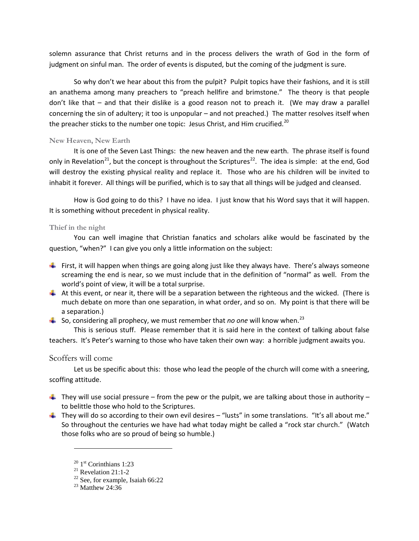solemn assurance that Christ returns and in the process delivers the wrath of God in the form of judgment on sinful man. The order of events is disputed, but the coming of the judgment is sure.

So why don't we hear about this from the pulpit? Pulpit topics have their fashions, and it is still an anathema among many preachers to "preach hellfire and brimstone." The theory is that people don't like that – and that their dislike is a good reason not to preach it. (We may draw a parallel concerning the sin of adultery; it too is unpopular – and not preached.) The matter resolves itself when the preacher sticks to the number one topic: Jesus Christ, and Him crucified.<sup>[20](#page-33-0)</sup>

# **New Heaven, New Earth**

It is one of the Seven Last Things: the new heaven and the new earth. The phrase itself is found only in Revelation<sup>21</sup>, but the concept is throughout the Scriptures<sup>22</sup>. The idea is simple: at the end, God will destroy the existing physical reality and replace it. Those who are his children will be invited to inhabit it forever. All things will be purified, which is to say that all things will be judged and cleansed.

How is God going to do this? I have no idea. I just know that his Word says that it will happen. It is something without precedent in physical reality.

#### **Thief in the night**

You can well imagine that Christian fanatics and scholars alike would be fascinated by the question, "when?" I can give you only a little information on the subject:

- **First, it will happen when things are going along just like they always have. There's always someone** screaming the end is near, so we must include that in the definition of "normal" as well. From the world's point of view, it will be a total surprise.
- $\ddot{\phantom{1}}$  At this event, or near it, there will be a separation between the righteous and the wicked. (There is much debate on more than one separation, in what order, and so on. My point is that there will be a separation.)
- $\frac{1}{2}$  So, considering all prophecy, we must remember that *no one* will know when.<sup>[23](#page-33-3)</sup>

This is serious stuff. Please remember that it is said here in the context of talking about false teachers. It's Peter's warning to those who have taken their own way: a horrible judgment awaits you.

# Scoffers will come

 $\overline{\phantom{a}}$ 

Let us be specific about this: those who lead the people of the church will come with a sneering, scoffing attitude.

- **They will use social pressure from the pew or the pulpit, we are talking about those in authority** to belittle those who hold to the Scriptures.
- <span id="page-33-0"></span>**They will do so according to their own evil desires – "lusts" in some translations. "It's all about me."** So throughout the centuries we have had what today might be called a "rock star church." (Watch those folks who are so proud of being so humble.)

<span id="page-33-2"></span>

<span id="page-33-1"></span><sup>&</sup>lt;sup>20</sup> 1<sup>st</sup> Corinthians 1:23<br><sup>21</sup> Revelation 21:1-2<br><sup>22</sup> See, for example, Isaiah 66:22<br><sup>23</sup> Matthew 24:36

<span id="page-33-3"></span>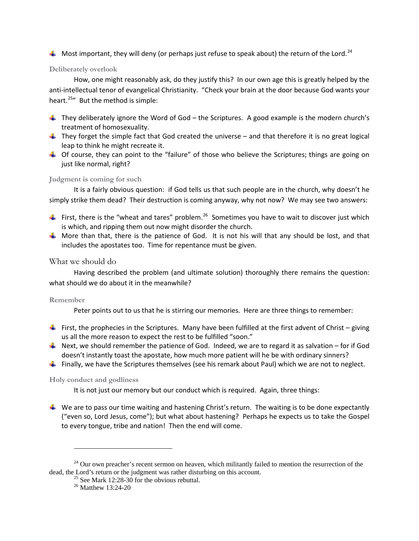Most important, they will deny (or perhaps just refuse to speak about) the return of the Lord.<sup>[24](#page-34-0)</sup>

# **Deliberately overlook**

How, one might reasonably ask, do they justify this? In our own age this is greatly helped by the anti-intellectual tenor of evangelical Christianity. "Check your brain at the door because God wants your heart. $^{25}$  $^{25}$  $^{25}$ " But the method is simple:

- $\ddot{\phantom{1}}$  They deliberately ignore the Word of God the Scriptures. A good example is the modern church's treatment of homosexuality.
- $\ddot{\phantom{1}}$  They forget the simple fact that God created the universe and that therefore it is no great logical leap to think he might recreate it.
- Of course, they can point to the "failure" of those who believe the Scriptures; things are going on just like normal, right?

# **Judgment is coming for such**

It is a fairly obvious question: if God tells us that such people are in the church, why doesn't he simply strike them dead? Their destruction is coming anyway, why not now? We may see two answers:

- First, there is the "wheat and tares" problem.<sup>26</sup> Sometimes you have to wait to discover just which is which, and ripping them out now might disorder the church.
- More than that, there is the patience of God. It is not his will that any should be lost, and that includes the apostates too. Time for repentance must be given.

# What we should do

Having described the problem (and ultimate solution) thoroughly there remains the question: what should we do about it in the meanwhile?

# **Remember**

Peter points out to us that he is stirring our memories. Here are three things to remember:

- First, the prophecies in the Scriptures. Many have been fulfilled at the first advent of Christ giving us all the more reason to expect the rest to be fulfilled "soon."
- Next, we should remember the patience of God. Indeed, we are to regard it as salvation for if God doesn't instantly toast the apostate, how much more patient will he be with ordinary sinners?
- Finally, we have the Scriptures themselves (see his remark about Paul) which we are not to neglect.

# **Holy conduct and godliness**

 $\overline{\phantom{a}}$ 

It is not just our memory but our conduct which is required. Again, three things:

We are to pass our time waiting and hastening Christ's return. The waiting is to be done expectantly ("even so, Lord Jesus, come"); but what about hastening? Perhaps he expects us to take the Gospel to every tongue, tribe and nation! Then the end will come.

<span id="page-34-2"></span><span id="page-34-1"></span><span id="page-34-0"></span> $24$  Our own preacher's recent sermon on heaven, which militantly failed to mention the resurrection of the dead, the Lord's return or the judgment was rather disturbing on this account.<br><sup>25</sup> See Mark 12:28-30 for the obvious rebuttal.<br><sup>26</sup> Matthew 13:24-20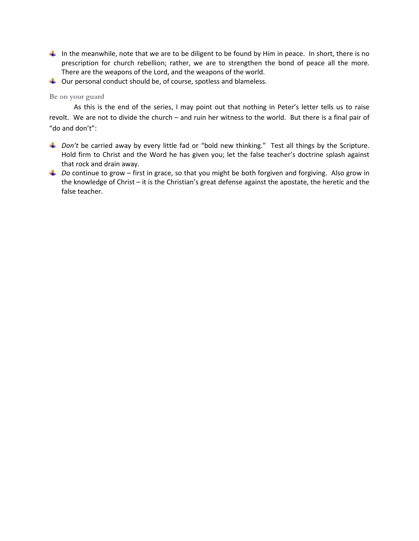- In the meanwhile, note that we are to be diligent to be found by Him in peace. In short, there is no prescription for church rebellion; rather, we are to strengthen the bond of peace all the more. There are the weapons of the Lord, and the weapons of the world.
- $\downarrow$  Our personal conduct should be, of course, spotless and blameless.

#### **Be on your guard**

As this is the end of the series, I may point out that nothing in Peter's letter tells us to raise revolt. We are not to divide the church – and ruin her witness to the world. But there is a final pair of "do and don't":

- **Don't** be carried away by every little fad or "bold new thinking." Test all things by the Scripture. Hold firm to Christ and the Word he has given you; let the false teacher's doctrine splash against that rock and drain away.
- **↓** *Do* continue to grow first in grace, so that you might be both forgiven and forgiving. Also grow in the knowledge of Christ – it is the Christian's great defense against the apostate, the heretic and the false teacher.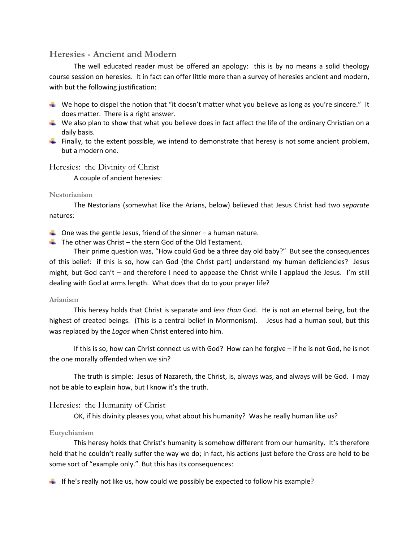# <span id="page-36-0"></span>**Heresies - Ancient and Modern**

The well educated reader must be offered an apology: this is by no means a solid theology course session on heresies. It in fact can offer little more than a survey of heresies ancient and modern, with but the following justification:

- We hope to dispel the notion that "it doesn't matter what you believe as long as you're sincere." It does matter. There is a right answer.
- $\ddot{\phantom{1}}$  We also plan to show that what you believe does in fact affect the life of the ordinary Christian on a daily basis.
- $\ddot{\phantom{1}}$  Finally, to the extent possible, we intend to demonstrate that heresy is not some ancient problem, but a modern one.

Heresies: the Divinity of Christ

A couple of ancient heresies:

#### **Nestorianism**

The Nestorians (somewhat like the Arians, below) believed that Jesus Christ had two *separate* natures:

 $\downarrow$  One was the gentle Jesus, friend of the sinner – a human nature.

 $\triangleq$  The other was Christ – the stern God of the Old Testament.

Their prime question was, "How could God be a three day old baby?" But see the consequences of this belief: if this is so, how can God (the Christ part) understand my human deficiencies? Jesus might, but God can't – and therefore I need to appease the Christ while I applaud the Jesus. I'm still dealing with God at arms length. What does that do to your prayer life?

#### **Arianism**

This heresy holds that Christ is separate and *less than* God. He is not an eternal being, but the highest of created beings. (This is a central belief in Mormonism). Jesus had a human soul, but this was replaced by the *Logos* when Christ entered into him.

If this is so, how can Christ connect us with God? How can he forgive – if he is not God, he is not the one morally offended when we sin?

The truth is simple: Jesus of Nazareth, the Christ, is, always was, and always will be God. I may not be able to explain how, but I know it's the truth.

# Heresies: the Humanity of Christ

OK, if his divinity pleases you, what about his humanity? Was he really human like us?

#### **Eutychianism**

This heresy holds that Christ's humanity is somehow different from our humanity. It's therefore held that he couldn't really suffer the way we do; in fact, his actions just before the Cross are held to be some sort of "example only." But this has its consequences:

If he's really not like us, how could we possibly be expected to follow his example?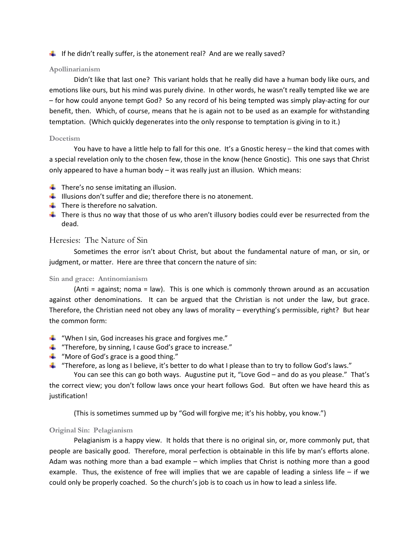#### If he didn't really suffer, is the atonement real? And are we really saved?

#### **Apollinarianism**

Didn't like that last one? This variant holds that he really did have a human body like ours, and emotions like ours, but his mind was purely divine. In other words, he wasn't really tempted like we are – for how could anyone tempt God? So any record of his being tempted was simply play-acting for our benefit, then. Which, of course, means that he is again not to be used as an example for withstanding temptation. (Which quickly degenerates into the only response to temptation is giving in to it.)

#### **Docetism**

You have to have a little help to fall for this one. It's a Gnostic heresy – the kind that comes with a special revelation only to the chosen few, those in the know (hence Gnostic). This one says that Christ only appeared to have a human body – it was really just an illusion. Which means:

- $\triangleq$  There's no sense imitating an illusion.
- $\downarrow$  Illusions don't suffer and die; therefore there is no atonement.
- $\blacksquare$  There is therefore no salvation.
- $\ddot{\phantom{1}}$  There is thus no way that those of us who aren't illusory bodies could ever be resurrected from the dead.

# Heresies: The Nature of Sin

Sometimes the error isn't about Christ, but about the fundamental nature of man, or sin, or judgment, or matter. Here are three that concern the nature of sin:

#### **Sin and grace: Antinomianism**

(Anti = against; noma = law). This is one which is commonly thrown around as an accusation against other denominations. It can be argued that the Christian is not under the law, but grace. Therefore, the Christian need not obey any laws of morality – everything's permissible, right? But hear the common form:

- $\ddot{*}$  "When I sin, God increases his grace and forgives me."
- $\ddot{\bullet}$  "Therefore, by sinning, I cause God's grace to increase."
- **W** "More of God's grace is a good thing."
- **Therefore, as long as I believe, it's better to do what I please than to try to follow God's laws."**

You can see this can go both ways. Augustine put it, "Love God – and do as you please." That's the correct view; you don't follow laws once your heart follows God. But often we have heard this as justification!

(This is sometimes summed up by "God will forgive me; it's his hobby, you know.")

# **Original Sin: Pelagianism**

Pelagianism is a happy view. It holds that there is no original sin, or, more commonly put, that people are basically good. Therefore, moral perfection is obtainable in this life by man's efforts alone. Adam was nothing more than a bad example – which implies that Christ is nothing more than a good example. Thus, the existence of free will implies that we are capable of leading a sinless life – if we could only be properly coached. So the church's job is to coach us in how to lead a sinless life.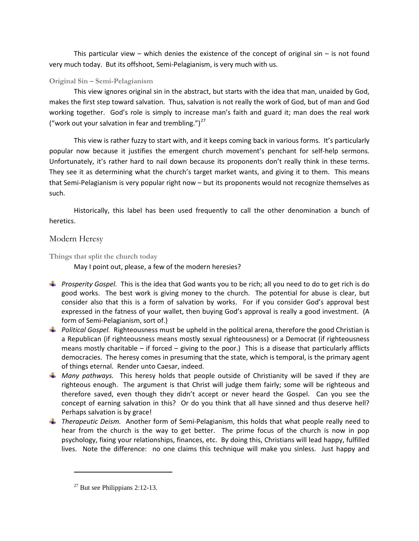This particular view  $-$  which denies the existence of the concept of original sin  $-$  is not found very much today. But its offshoot, Semi-Pelagianism, is very much with us.

# **Original Sin – Semi-Pelagianism**

This view ignores original sin in the abstract, but starts with the idea that man, unaided by God, makes the first step toward salvation. Thus, salvation is not really the work of God, but of man and God working together. God's role is simply to increase man's faith and guard it; man does the real work ("work out your salvation in fear and trembling.") $^{27}$  $^{27}$  $^{27}$ 

This view is rather fuzzy to start with, and it keeps coming back in various forms. It's particularly popular now because it justifies the emergent church movement's penchant for self-help sermons. Unfortunately, it's rather hard to nail down because its proponents don't really think in these terms. They see it as determining what the church's target market wants, and giving it to them. This means that Semi-Pelagianism is very popular right now – but its proponents would not recognize themselves as such.

Historically, this label has been used frequently to call the other denomination a bunch of heretics.

# Modern Heresy

**Things that split the church today**

May I point out, please, a few of the modern heresies?

- **Prosperity Gospel.** This is the idea that God wants you to be rich; all you need to do to get rich is do good works. The best work is giving money to the church. The potential for abuse is clear, but consider also that this is a form of salvation by works. For if you consider God's approval best expressed in the fatness of your wallet, then buying God's approval is really a good investment. (A form of Semi-Pelagianism, sort of.)
- **Political Gospel.** Righteousness must be upheld in the political arena, therefore the good Christian is a Republican (if righteousness means mostly sexual righteousness) or a Democrat (if righteousness means mostly charitable – if forced – giving to the poor.) This is a disease that particularly afflicts democracies. The heresy comes in presuming that the state, which is temporal, is the primary agent of things eternal. Render unto Caesar, indeed.
- *Many pathways.* This heresy holds that people outside of Christianity will be saved if they are righteous enough. The argument is that Christ will judge them fairly; some will be righteous and therefore saved, even though they didn't accept or never heard the Gospel. Can you see the concept of earning salvation in this? Or do you think that all have sinned and thus deserve hell? Perhaps salvation is by grace!
- *Therapeutic Deism.* Another form of Semi-Pelagianism, this holds that what people really need to hear from the church is the way to get better. The prime focus of the church is now in pop psychology, fixing your relationships, finances, etc. By doing this, Christians will lead happy, fulfilled lives. Note the difference: no one claims this technique will make you sinless. Just happy and

l

<span id="page-38-0"></span> $27$  But see Philippians 2:12-13.